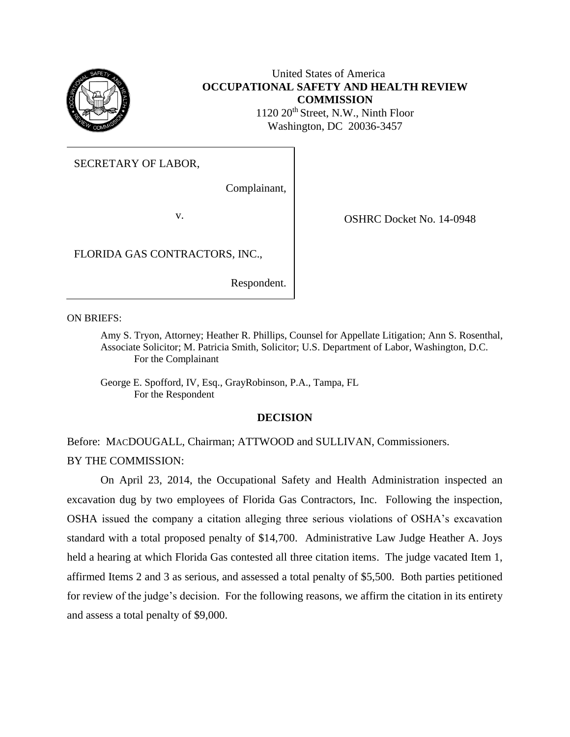

# United States of America **OCCUPATIONAL SAFETY AND HEALTH REVIEW COMMISSION** 1120 20<sup>th</sup> Street, N.W., Ninth Floor

Washington, DC 20036-3457

SECRETARY OF LABOR,

Complainant,

v. COSHRC Docket No. 14-0948

FLORIDA GAS CONTRACTORS, INC.,

Respondent.

ON BRIEFS:

Amy S. Tryon, Attorney; Heather R. Phillips, Counsel for Appellate Litigation; Ann S. Rosenthal, Associate Solicitor; M. Patricia Smith, Solicitor; U.S. Department of Labor, Washington, D.C. For the Complainant

George E. Spofford, IV, Esq., GrayRobinson, P.A., Tampa, FL For the Respondent

# **DECISION**

Before: MACDOUGALL, Chairman; ATTWOOD and SULLIVAN, Commissioners. BY THE COMMISSION:

On April 23, 2014, the Occupational Safety and Health Administration inspected an excavation dug by two employees of Florida Gas Contractors, Inc. Following the inspection, OSHA issued the company a citation alleging three serious violations of OSHA's excavation standard with a total proposed penalty of \$14,700. Administrative Law Judge Heather A. Joys held a hearing at which Florida Gas contested all three citation items. The judge vacated Item 1, affirmed Items 2 and 3 as serious, and assessed a total penalty of \$5,500. Both parties petitioned for review of the judge's decision. For the following reasons, we affirm the citation in its entirety and assess a total penalty of \$9,000.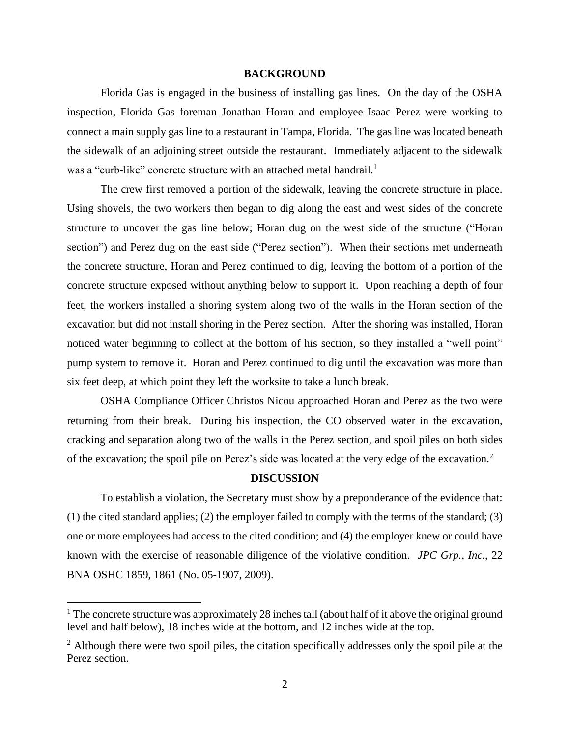### **BACKGROUND**

Florida Gas is engaged in the business of installing gas lines. On the day of the OSHA inspection, Florida Gas foreman Jonathan Horan and employee Isaac Perez were working to connect a main supply gas line to a restaurant in Tampa, Florida. The gas line was located beneath the sidewalk of an adjoining street outside the restaurant. Immediately adjacent to the sidewalk was a "curb-like" concrete structure with an attached metal handrail.<sup>1</sup>

The crew first removed a portion of the sidewalk, leaving the concrete structure in place. Using shovels, the two workers then began to dig along the east and west sides of the concrete structure to uncover the gas line below; Horan dug on the west side of the structure ("Horan section") and Perez dug on the east side ("Perez section"). When their sections met underneath the concrete structure, Horan and Perez continued to dig, leaving the bottom of a portion of the concrete structure exposed without anything below to support it. Upon reaching a depth of four feet, the workers installed a shoring system along two of the walls in the Horan section of the excavation but did not install shoring in the Perez section. After the shoring was installed, Horan noticed water beginning to collect at the bottom of his section, so they installed a "well point" pump system to remove it. Horan and Perez continued to dig until the excavation was more than six feet deep, at which point they left the worksite to take a lunch break.

OSHA Compliance Officer Christos Nicou approached Horan and Perez as the two were returning from their break. During his inspection, the CO observed water in the excavation, cracking and separation along two of the walls in the Perez section, and spoil piles on both sides of the excavation; the spoil pile on Perez's side was located at the very edge of the excavation. 2

## **DISCUSSION**

To establish a violation, the Secretary must show by a preponderance of the evidence that: (1) the cited standard applies; (2) the employer failed to comply with the terms of the standard; (3) one or more employees had access to the cited condition; and (4) the employer knew or could have known with the exercise of reasonable diligence of the violative condition. *JPC Grp., Inc.*, 22 BNA OSHC 1859, 1861 (No. 05-1907, 2009).

 $1$ . The concrete structure was approximately 28 inches tall (about half of it above the original ground level and half below), 18 inches wide at the bottom, and 12 inches wide at the top.

 $<sup>2</sup>$  Although there were two spoil piles, the citation specifically addresses only the spoil pile at the</sup> Perez section.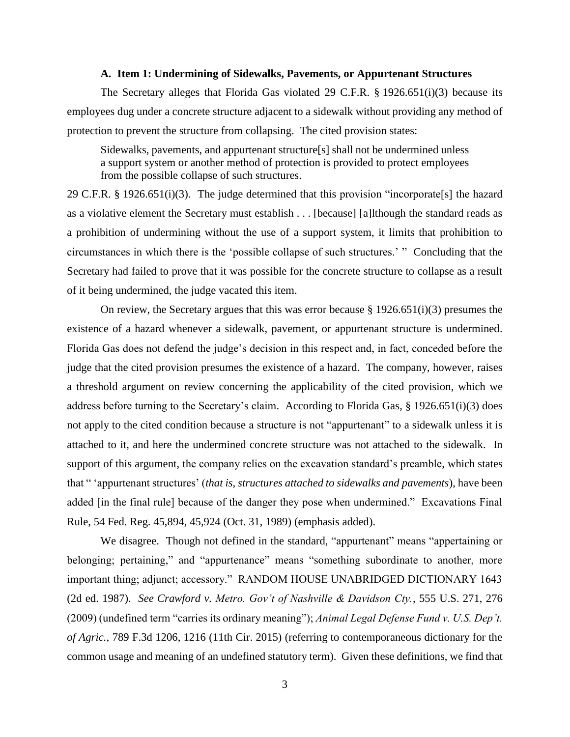### **A. Item 1: Undermining of Sidewalks, Pavements, or Appurtenant Structures**

The Secretary alleges that Florida Gas violated 29 C.F.R. § 1926.651(i)(3) because its employees dug under a concrete structure adjacent to a sidewalk without providing any method of protection to prevent the structure from collapsing. The cited provision states:

Sidewalks, pavements, and appurtenant structure[s] shall not be undermined unless a support system or another method of protection is provided to protect employees from the possible collapse of such structures.

29 C.F.R. § 1926.651(i)(3). The judge determined that this provision "incorporate[s] the hazard as a violative element the Secretary must establish . . . [because] [a]lthough the standard reads as a prohibition of undermining without the use of a support system, it limits that prohibition to circumstances in which there is the 'possible collapse of such structures.' " Concluding that the Secretary had failed to prove that it was possible for the concrete structure to collapse as a result of it being undermined, the judge vacated this item.

On review, the Secretary argues that this was error because  $\S 1926.651(i)(3)$  presumes the existence of a hazard whenever a sidewalk, pavement, or appurtenant structure is undermined. Florida Gas does not defend the judge's decision in this respect and, in fact, conceded before the judge that the cited provision presumes the existence of a hazard. The company, however, raises a threshold argument on review concerning the applicability of the cited provision, which we address before turning to the Secretary's claim. According to Florida Gas, § 1926.651(i)(3) does not apply to the cited condition because a structure is not "appurtenant" to a sidewalk unless it is attached to it, and here the undermined concrete structure was not attached to the sidewalk. In support of this argument, the company relies on the excavation standard's preamble, which states that " 'appurtenant structures' (*that is, structures attached to sidewalks and pavements*), have been added [in the final rule] because of the danger they pose when undermined." Excavations Final Rule, 54 Fed. Reg. 45,894, 45,924 (Oct. 31, 1989) (emphasis added).

We disagree. Though not defined in the standard, "appurtenant" means "appertaining or belonging; pertaining," and "appurtenance" means "something subordinate to another, more important thing; adjunct; accessory." RANDOM HOUSE UNABRIDGED DICTIONARY 1643 (2d ed. 1987). *See Crawford v. Metro. Gov't of Nashville & Davidson Cty.*, 555 U.S. 271, 276 (2009) (undefined term "carries its ordinary meaning"); *Animal Legal Defense Fund v. U.S. Dep't. of Agric.*, 789 F.3d 1206, 1216 (11th Cir. 2015) (referring to contemporaneous dictionary for the common usage and meaning of an undefined statutory term). Given these definitions, we find that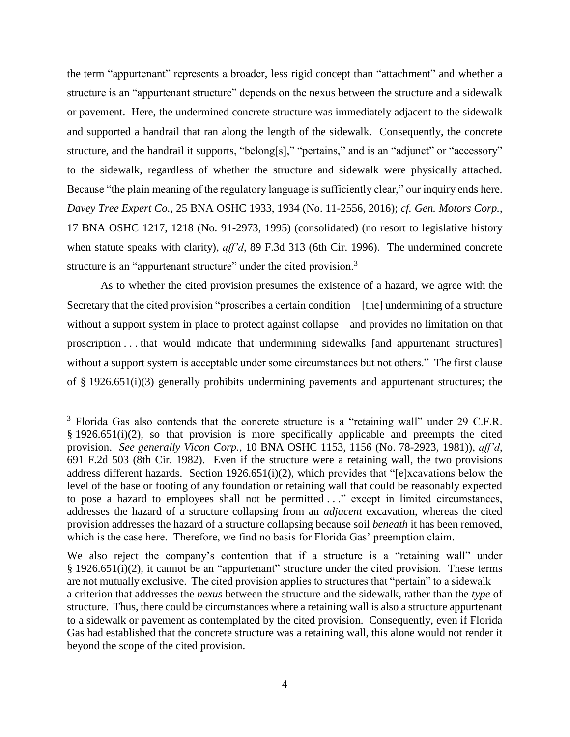the term "appurtenant" represents a broader, less rigid concept than "attachment" and whether a structure is an "appurtenant structure" depends on the nexus between the structure and a sidewalk or pavement. Here, the undermined concrete structure was immediately adjacent to the sidewalk and supported a handrail that ran along the length of the sidewalk. Consequently, the concrete structure, and the handrail it supports, "belong[s]," "pertains," and is an "adjunct" or "accessory" to the sidewalk, regardless of whether the structure and sidewalk were physically attached. Because "the plain meaning of the regulatory language is sufficiently clear," our inquiry ends here. *Davey Tree Expert Co.*, 25 BNA OSHC 1933, 1934 (No. 11-2556, 2016); *cf. Gen. Motors Corp.*, 17 BNA OSHC 1217, 1218 (No. 91-2973, 1995) (consolidated) (no resort to legislative history when statute speaks with clarity), *aff'd*, 89 F.3d 313 (6th Cir. 1996). The undermined concrete structure is an "appurtenant structure" under the cited provision.<sup>3</sup>

As to whether the cited provision presumes the existence of a hazard, we agree with the Secretary that the cited provision "proscribes a certain condition—[the] undermining of a structure without a support system in place to protect against collapse—and provides no limitation on that proscription . . . that would indicate that undermining sidewalks [and appurtenant structures] without a support system is acceptable under some circumstances but not others." The first clause of § 1926.651(i)(3) generally prohibits undermining pavements and appurtenant structures; the

<sup>&</sup>lt;sup>3</sup> Florida Gas also contends that the concrete structure is a "retaining wall" under 29 C.F.R. § 1926.651(i)(2), so that provision is more specifically applicable and preempts the cited provision. *See generally Vicon Corp.*, 10 BNA OSHC 1153, 1156 (No. 78-2923, 1981)), *aff'd*, 691 F.2d 503 (8th Cir. 1982). Even if the structure were a retaining wall, the two provisions address different hazards. Section 1926.651(i)(2), which provides that "[e]xcavations below the level of the base or footing of any foundation or retaining wall that could be reasonably expected to pose a hazard to employees shall not be permitted . . ." except in limited circumstances, addresses the hazard of a structure collapsing from an *adjacent* excavation, whereas the cited provision addresses the hazard of a structure collapsing because soil *beneath* it has been removed, which is the case here. Therefore, we find no basis for Florida Gas' preemption claim.

We also reject the company's contention that if a structure is a "retaining wall" under § 1926.651(i)(2), it cannot be an "appurtenant" structure under the cited provision. These terms are not mutually exclusive. The cited provision applies to structures that "pertain" to a sidewalk a criterion that addresses the *nexus* between the structure and the sidewalk, rather than the *type* of structure. Thus, there could be circumstances where a retaining wall is also a structure appurtenant to a sidewalk or pavement as contemplated by the cited provision. Consequently, even if Florida Gas had established that the concrete structure was a retaining wall, this alone would not render it beyond the scope of the cited provision.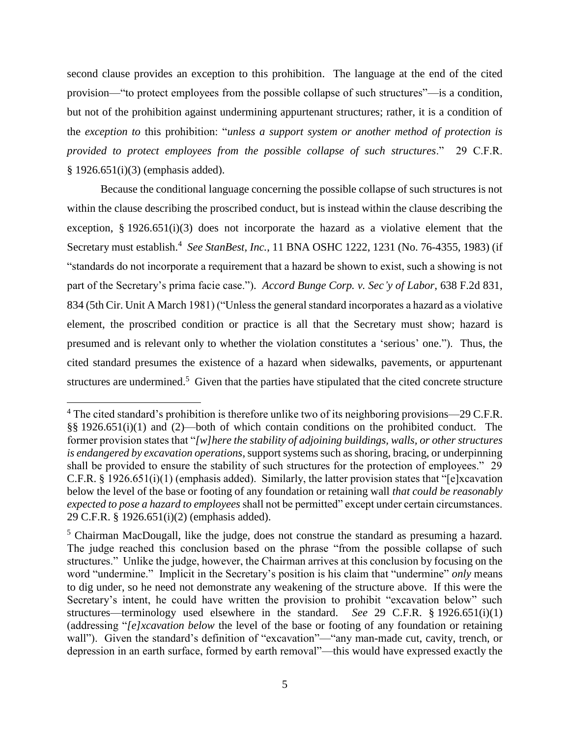second clause provides an exception to this prohibition. The language at the end of the cited provision—"to protect employees from the possible collapse of such structures"—is a condition, but not of the prohibition against undermining appurtenant structures; rather, it is a condition of the *exception to* this prohibition: "*unless a support system or another method of protection is provided to protect employees from the possible collapse of such structures*." 29 C.F.R. § 1926.651(i)(3) (emphasis added).

Because the conditional language concerning the possible collapse of such structures is not within the clause describing the proscribed conduct, but is instead within the clause describing the exception, § 1926.651(i)(3) does not incorporate the hazard as a violative element that the Secretary must establish.<sup>4</sup> *See StanBest, Inc.*, 11 BNA OSHC 1222, 1231 (No. 76-4355, 1983) (if "standards do not incorporate a requirement that a hazard be shown to exist, such a showing is not part of the Secretary's prima facie case."). *Accord Bunge Corp. v. Sec'y of Labor*, 638 F.2d 831, 834 (5th Cir. Unit A March 1981) ("Unless the general standard incorporates a hazard as a violative element, the proscribed condition or practice is all that the Secretary must show; hazard is presumed and is relevant only to whether the violation constitutes a 'serious' one."). Thus, the cited standard presumes the existence of a hazard when sidewalks, pavements, or appurtenant structures are undermined.<sup>5</sup> Given that the parties have stipulated that the cited concrete structure

 $4$  The cited standard's prohibition is therefore unlike two of its neighboring provisions—29 C.F.R. §§ 1926.651(i)(1) and (2)—both of which contain conditions on the prohibited conduct. The former provision states that "*[w]here the stability of adjoining buildings, walls, or other structures is endangered by excavation operations*, support systems such as shoring, bracing, or underpinning shall be provided to ensure the stability of such structures for the protection of employees." 29 C.F.R. § 1926.651(i)(1) (emphasis added). Similarly, the latter provision states that "[e]xcavation below the level of the base or footing of any foundation or retaining wall *that could be reasonably expected to pose a hazard to employees* shall not be permitted" except under certain circumstances. 29 C.F.R. § 1926.651(i)(2) (emphasis added).

<sup>5</sup> Chairman MacDougall, like the judge, does not construe the standard as presuming a hazard. The judge reached this conclusion based on the phrase "from the possible collapse of such structures." Unlike the judge, however, the Chairman arrives at this conclusion by focusing on the word "undermine." Implicit in the Secretary's position is his claim that "undermine" *only* means to dig under, so he need not demonstrate any weakening of the structure above. If this were the Secretary's intent, he could have written the provision to prohibit "excavation below" such structures—terminology used elsewhere in the standard. *See* 29 C.F.R. § 1926.651(i)(1) (addressing "*[e]xcavation below* the level of the base or footing of any foundation or retaining wall"). Given the standard's definition of "excavation"—"any man-made cut, cavity, trench, or depression in an earth surface, formed by earth removal"—this would have expressed exactly the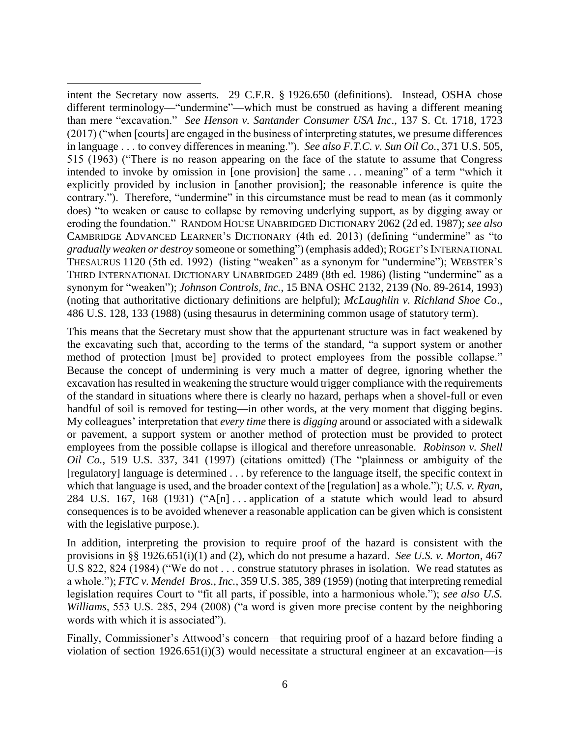intent the Secretary now asserts. 29 C.F.R. § 1926.650 (definitions). Instead, OSHA chose different terminology—"undermine"—which must be construed as having a different meaning than mere "excavation." *See Henson v. Santander Consumer USA Inc*., 137 S. Ct. 1718, 1723 (2017) ("when [courts] are engaged in the business of interpreting statutes, we presume differences in language . . . to convey differences in meaning."). *See also F.T.C. v. Sun Oil Co.*, 371 U.S. 505, 515 (1963) ("There is no reason appearing on the face of the statute to assume that Congress intended to invoke by omission in [one provision] the same . . . meaning" of a term "which it explicitly provided by inclusion in [another provision]; the reasonable inference is quite the contrary."). Therefore, "undermine" in this circumstance must be read to mean (as it commonly does) "to weaken or cause to collapse by removing underlying support, as by digging away or eroding the foundation." RANDOM HOUSE UNABRIDGED DICTIONARY 2062 (2d ed. 1987); *see also* CAMBRIDGE ADVANCED LEARNER'S DICTIONARY (4th ed. 2013) (defining "undermine" as "to *gradually weaken or destroy* someone or something") (emphasis added); ROGET'S INTERNATIONAL THESAURUS 1120 (5th ed. 1992) (listing "weaken" as a synonym for "undermine"); WEBSTER'S THIRD INTERNATIONAL DICTIONARY UNABRIDGED 2489 (8th ed. 1986) (listing "undermine" as a synonym for "weaken"); *Johnson Controls, Inc.*, 15 BNA OSHC 2132, 2139 (No. 89-2614, 1993) (noting that authoritative dictionary definitions are helpful); *McLaughlin v. Richland Shoe Co*., 486 U.S. 128, 133 (1988) (using thesaurus in determining common usage of statutory term).

 $\overline{a}$ 

This means that the Secretary must show that the appurtenant structure was in fact weakened by the excavating such that, according to the terms of the standard, "a support system or another method of protection [must be] provided to protect employees from the possible collapse." Because the concept of undermining is very much a matter of degree, ignoring whether the excavation has resulted in weakening the structure would trigger compliance with the requirements of the standard in situations where there is clearly no hazard, perhaps when a shovel-full or even handful of soil is removed for testing—in other words, at the very moment that digging begins. My colleagues' interpretation that *every time* there is *digging* around or associated with a sidewalk or pavement, a support system or another method of protection must be provided to protect employees from the possible collapse is illogical and therefore unreasonable. *Robinson v. Shell Oil Co.*, 519 U.S. 337, 341 (1997) (citations omitted) (The "plainness or ambiguity of the [regulatory] language is determined . . . by reference to the language itself, the specific context in which that language is used, and the broader context of the [regulation] as a whole."); *U.S. v. Ryan*, 284 U.S. 167, 168 (1931) ("A[n] . . . application of a statute which would lead to absurd consequences is to be avoided whenever a reasonable application can be given which is consistent with the legislative purpose.).

In addition, interpreting the provision to require proof of the hazard is consistent with the provisions in §§ 1926.651(i)(1) and (2), which do not presume a hazard. *See U.S. v. Morton*, 467 U.S 822, 824 (1984) ("We do not . . . construe statutory phrases in isolation. We read statutes as a whole."); *FTC v. Mendel Bros., Inc.*, 359 U.S. 385, 389 (1959) (noting that interpreting remedial legislation requires Court to "fit all parts, if possible, into a harmonious whole."); *see also U.S. Williams*, 553 U.S. 285, 294 (2008) ("a word is given more precise content by the neighboring words with which it is associated").

Finally, Commissioner's Attwood's concern—that requiring proof of a hazard before finding a violation of section 1926.651(i)(3) would necessitate a structural engineer at an excavation—is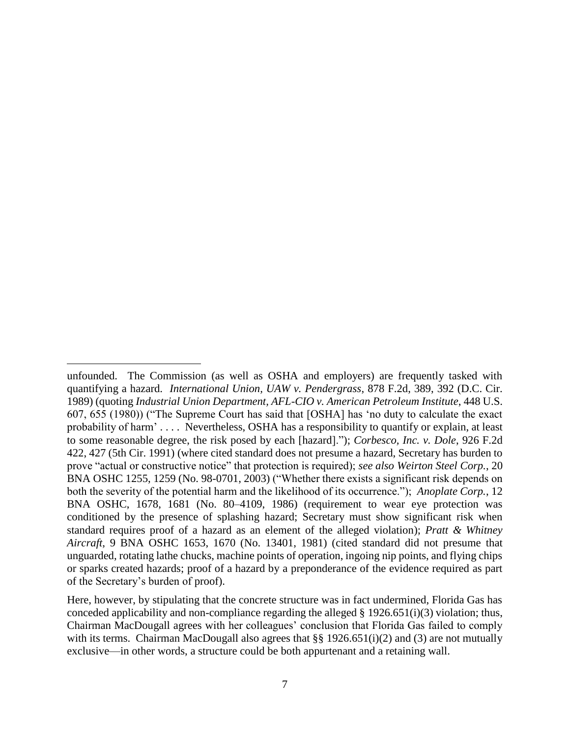unfounded. The Commission (as well as OSHA and employers) are frequently tasked with quantifying a hazard. *International Union, UAW v. Pendergrass*, 878 F.2d, 389, 392 (D.C. Cir. 1989) (quoting *Industrial Union Department, AFL-CIO v. American Petroleum Institute*, 448 U.S. 607, 655 (1980)) ("The Supreme Court has said that [OSHA] has 'no duty to calculate the exact probability of harm' . . . . Nevertheless, OSHA has a responsibility to quantify or explain, at least to some reasonable degree, the risk posed by each [hazard]."); *Corbesco, Inc. v. Dole*, 926 F.2d 422, 427 (5th Cir. 1991) (where cited standard does not presume a hazard, Secretary has burden to prove "actual or constructive notice" that protection is required); *see also Weirton Steel Corp.*, 20 BNA OSHC 1255, 1259 (No. 98-0701, 2003) ("Whether there exists a significant risk depends on both the severity of the potential harm and the likelihood of its occurrence."); *Anoplate Corp.*, 12 BNA OSHC, 1678, 1681 (No. 80–4109, 1986) (requirement to wear eye protection was conditioned by the presence of splashing hazard; Secretary must show significant risk when standard requires proof of a hazard as an element of the alleged violation); *Pratt & Whitney Aircraft*, 9 BNA OSHC 1653, 1670 (No. 13401, 1981) (cited standard did not presume that unguarded, rotating lathe chucks, machine points of operation, ingoing nip points, and flying chips or sparks created hazards; proof of a hazard by a preponderance of the evidence required as part of the Secretary's burden of proof).

Here, however, by stipulating that the concrete structure was in fact undermined, Florida Gas has conceded applicability and non-compliance regarding the alleged § 1926.651(i)(3) violation; thus, Chairman MacDougall agrees with her colleagues' conclusion that Florida Gas failed to comply with its terms. Chairman MacDougall also agrees that §§ 1926.651(i)(2) and (3) are not mutually exclusive—in other words, a structure could be both appurtenant and a retaining wall.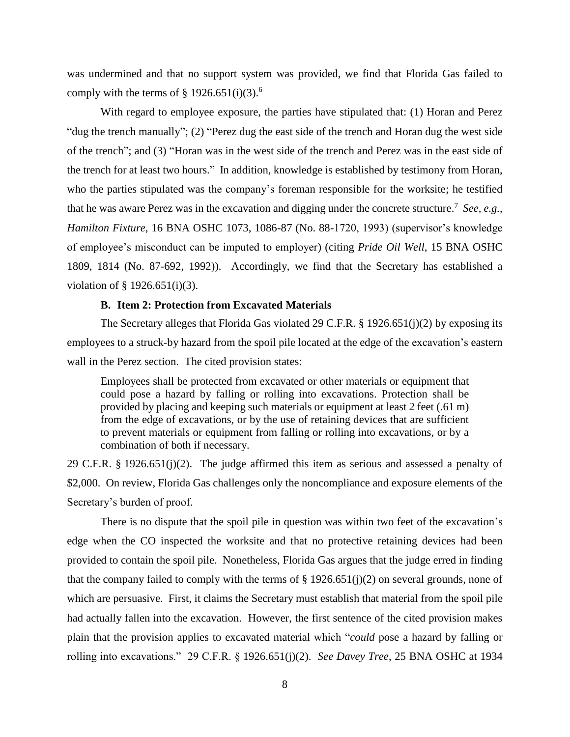was undermined and that no support system was provided, we find that Florida Gas failed to comply with the terms of  $\S$  1926.651(i)(3).<sup>6</sup>

With regard to employee exposure, the parties have stipulated that: (1) Horan and Perez "dug the trench manually"; (2) "Perez dug the east side of the trench and Horan dug the west side of the trench"; and (3) "Horan was in the west side of the trench and Perez was in the east side of the trench for at least two hours." In addition, knowledge is established by testimony from Horan, who the parties stipulated was the company's foreman responsible for the worksite; he testified that he was aware Perez was in the excavation and digging under the concrete structure. 7 *See, e.g.*, *Hamilton Fixture*, 16 BNA OSHC 1073, 1086-87 (No. 88-1720, 1993) (supervisor's knowledge of employee's misconduct can be imputed to employer) (citing *Pride Oil Well*, 15 BNA OSHC 1809, 1814 (No. 87-692, 1992)). Accordingly, we find that the Secretary has established a violation of § 1926.651(i)(3).

# **B. Item 2: Protection from Excavated Materials**

The Secretary alleges that Florida Gas violated 29 C.F.R.  $\S$  1926.651(j)(2) by exposing its employees to a struck-by hazard from the spoil pile located at the edge of the excavation's eastern wall in the Perez section. The cited provision states:

Employees shall be protected from excavated or other materials or equipment that could pose a hazard by falling or rolling into excavations. Protection shall be provided by placing and keeping such materials or equipment at least 2 feet (.61 m) from the edge of excavations, or by the use of retaining devices that are sufficient to prevent materials or equipment from falling or rolling into excavations, or by a combination of both if necessary.

29 C.F.R. § 1926.651(j)(2). The judge affirmed this item as serious and assessed a penalty of \$2,000. On review, Florida Gas challenges only the noncompliance and exposure elements of the Secretary's burden of proof.

There is no dispute that the spoil pile in question was within two feet of the excavation's edge when the CO inspected the worksite and that no protective retaining devices had been provided to contain the spoil pile. Nonetheless, Florida Gas argues that the judge erred in finding that the company failed to comply with the terms of  $\S 1926.651(j)(2)$  on several grounds, none of which are persuasive. First, it claims the Secretary must establish that material from the spoil pile had actually fallen into the excavation. However, the first sentence of the cited provision makes plain that the provision applies to excavated material which "*could* pose a hazard by falling or rolling into excavations." 29 C.F.R. § 1926.651(j)(2). *See Davey Tree*, 25 BNA OSHC at 1934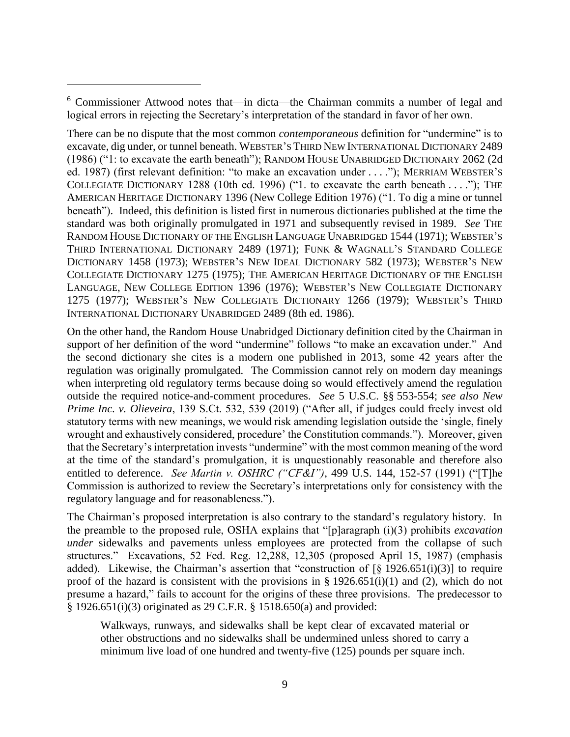$\overline{a}$ 

There can be no dispute that the most common *contemporaneous* definition for "undermine" is to excavate, dig under, or tunnel beneath. WEBSTER'S THIRD NEW INTERNATIONAL DICTIONARY 2489 (1986) ("1: to excavate the earth beneath"); RANDOM HOUSE UNABRIDGED DICTIONARY 2062 (2d ed. 1987) (first relevant definition: "to make an excavation under . . . ."); MERRIAM WEBSTER'S COLLEGIATE DICTIONARY 1288 (10th ed. 1996) ("1. to excavate the earth beneath . . . ."); THE AMERICAN HERITAGE DICTIONARY 1396 (New College Edition 1976) ("1. To dig a mine or tunnel beneath"). Indeed, this definition is listed first in numerous dictionaries published at the time the standard was both originally promulgated in 1971 and subsequently revised in 1989. *See* THE RANDOM HOUSE DICTIONARY OF THE ENGLISH LANGUAGE UNABRIDGED 1544 (1971); WEBSTER'S THIRD INTERNATIONAL DICTIONARY 2489 (1971); FUNK & WAGNALL'S STANDARD COLLEGE DICTIONARY 1458 (1973); WEBSTER'S NEW IDEAL DICTIONARY 582 (1973); WEBSTER'S NEW COLLEGIATE DICTIONARY 1275 (1975); THE AMERICAN HERITAGE DICTIONARY OF THE ENGLISH LANGUAGE, NEW COLLEGE EDITION 1396 (1976); WEBSTER'S NEW COLLEGIATE DICTIONARY 1275 (1977); WEBSTER'S NEW COLLEGIATE DICTIONARY 1266 (1979); WEBSTER'S THIRD INTERNATIONAL DICTIONARY UNABRIDGED 2489 (8th ed. 1986).

On the other hand, the Random House Unabridged Dictionary definition cited by the Chairman in support of her definition of the word "undermine" follows "to make an excavation under." And the second dictionary she cites is a modern one published in 2013, some 42 years after the regulation was originally promulgated. The Commission cannot rely on modern day meanings when interpreting old regulatory terms because doing so would effectively amend the regulation outside the required notice-and-comment procedures. *See* 5 U.S.C. §§ 553-554; *see also New Prime Inc*. *v. Olieveira*, 139 S.Ct. 532, 539 (2019) ("After all, if judges could freely invest old statutory terms with new meanings, we would risk amending legislation outside the 'single, finely wrought and exhaustively considered, procedure' the Constitution commands."). Moreover, given that the Secretary's interpretation invests "undermine" with the most common meaning of the word at the time of the standard's promulgation, it is unquestionably reasonable and therefore also entitled to deference. *See Martin v. OSHRC ("CF&I")*, 499 U.S. 144, 152-57 (1991) ("[T]he Commission is authorized to review the Secretary's interpretations only for consistency with the regulatory language and for reasonableness.").

The Chairman's proposed interpretation is also contrary to the standard's regulatory history. In the preamble to the proposed rule, OSHA explains that "[p]aragraph (i)(3) prohibits *excavation under* sidewalks and pavements unless employees are protected from the collapse of such structures." Excavations, 52 Fed. Reg. 12,288, 12,305 (proposed April 15, 1987) (emphasis added). Likewise, the Chairman's assertion that "construction of  $\lbrack \S$  1926.651(i)(3)] to require proof of the hazard is consistent with the provisions in  $\S$  1926.651(i)(1) and (2), which do not presume a hazard," fails to account for the origins of these three provisions. The predecessor to § 1926.651(i)(3) originated as 29 C.F.R. § 1518.650(a) and provided:

Walkways, runways, and sidewalks shall be kept clear of excavated material or other obstructions and no sidewalks shall be undermined unless shored to carry a minimum live load of one hundred and twenty-five (125) pounds per square inch.

<sup>6</sup> Commissioner Attwood notes that—in dicta—the Chairman commits a number of legal and logical errors in rejecting the Secretary's interpretation of the standard in favor of her own.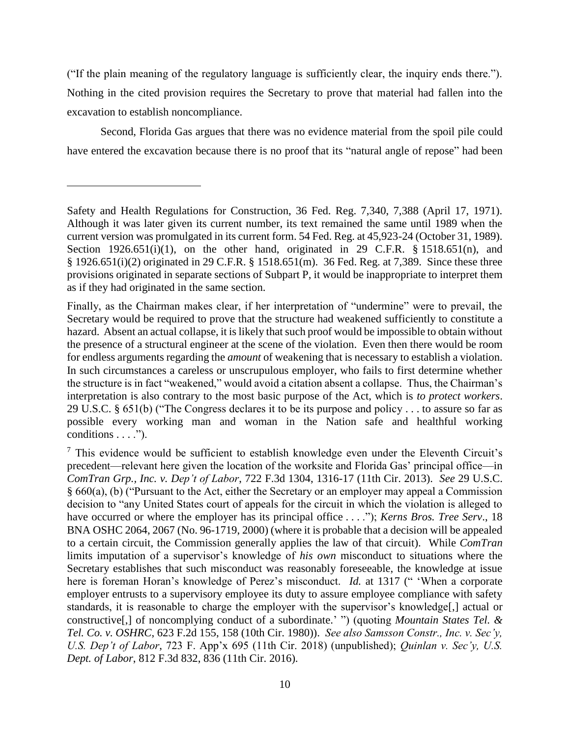("If the plain meaning of the regulatory language is sufficiently clear, the inquiry ends there."). Nothing in the cited provision requires the Secretary to prove that material had fallen into the excavation to establish noncompliance.

Second, Florida Gas argues that there was no evidence material from the spoil pile could have entered the excavation because there is no proof that its "natural angle of repose" had been

 $\overline{a}$ 

Finally, as the Chairman makes clear, if her interpretation of "undermine" were to prevail, the Secretary would be required to prove that the structure had weakened sufficiently to constitute a hazard. Absent an actual collapse, it is likely that such proof would be impossible to obtain without the presence of a structural engineer at the scene of the violation. Even then there would be room for endless arguments regarding the *amount* of weakening that is necessary to establish a violation. In such circumstances a careless or unscrupulous employer, who fails to first determine whether the structure is in fact "weakened," would avoid a citation absent a collapse. Thus, the Chairman's interpretation is also contrary to the most basic purpose of the Act, which is *to protect workers*. 29 U.S.C. § 651(b) ("The Congress declares it to be its purpose and policy . . . to assure so far as possible every working man and woman in the Nation safe and healthful working conditions . . . .").

 $<sup>7</sup>$  This evidence would be sufficient to establish knowledge even under the Eleventh Circuit's</sup> precedent—relevant here given the location of the worksite and Florida Gas' principal office—in *ComTran Grp., Inc. v. Dep't of Labor*, 722 F.3d 1304, 1316-17 (11th Cir. 2013). *See* 29 U.S.C. § 660(a), (b) ("Pursuant to the Act, either the Secretary or an employer may appeal a Commission decision to "any United States court of appeals for the circuit in which the violation is alleged to have occurred or where the employer has its principal office . . . ."); *Kerns Bros. Tree Serv*., 18 BNA OSHC 2064, 2067 (No. 96-1719, 2000) (where it is probable that a decision will be appealed to a certain circuit, the Commission generally applies the law of that circuit). While *ComTran*  limits imputation of a supervisor's knowledge of *his own* misconduct to situations where the Secretary establishes that such misconduct was reasonably foreseeable, the knowledge at issue here is foreman Horan's knowledge of Perez's misconduct. *Id.* at 1317 (" 'When a corporate employer entrusts to a supervisory employee its duty to assure employee compliance with safety standards, it is reasonable to charge the employer with the supervisor's knowledge[,] actual or constructive[,] of noncomplying conduct of a subordinate.' ") (quoting *Mountain States Tel. & Tel. Co. v. OSHRC*, 623 F.2d 155, 158 (10th Cir. 1980)). *See also Samsson Constr., Inc. v. Sec'y, U.S. Dep't of Labor*, 723 F. App'x 695 (11th Cir. 2018) (unpublished); *Quinlan v. Sec'y, U.S. Dept. of Labor*, 812 F.3d 832, 836 (11th Cir. 2016).

Safety and Health Regulations for Construction, 36 Fed. Reg. 7,340, 7,388 (April 17, 1971). Although it was later given its current number, its text remained the same until 1989 when the current version was promulgated in its current form. 54 Fed. Reg. at 45,923-24 (October 31, 1989). Section  $1926.651(i)(1)$ , on the other hand, originated in 29 C.F.R. § 1518.651(n), and § 1926.651(i)(2) originated in 29 C.F.R. § 1518.651(m). 36 Fed. Reg. at 7,389. Since these three provisions originated in separate sections of Subpart P, it would be inappropriate to interpret them as if they had originated in the same section.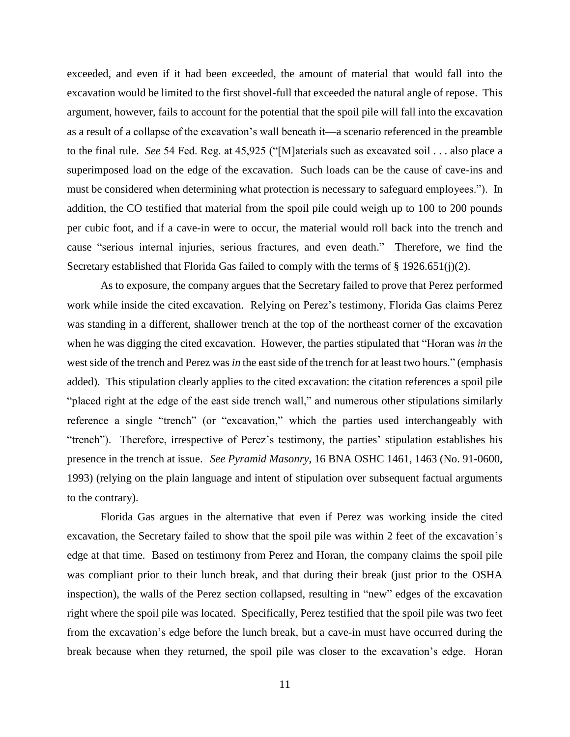exceeded, and even if it had been exceeded, the amount of material that would fall into the excavation would be limited to the first shovel-full that exceeded the natural angle of repose. This argument, however, fails to account for the potential that the spoil pile will fall into the excavation as a result of a collapse of the excavation's wall beneath it—a scenario referenced in the preamble to the final rule. *See* 54 Fed. Reg. at 45,925 ("[M]aterials such as excavated soil . . . also place a superimposed load on the edge of the excavation. Such loads can be the cause of cave-ins and must be considered when determining what protection is necessary to safeguard employees."). In addition, the CO testified that material from the spoil pile could weigh up to 100 to 200 pounds per cubic foot, and if a cave-in were to occur, the material would roll back into the trench and cause "serious internal injuries, serious fractures, and even death." Therefore, we find the Secretary established that Florida Gas failed to comply with the terms of § 1926.651(j)(2).

As to exposure, the company argues that the Secretary failed to prove that Perez performed work while inside the cited excavation. Relying on Perez's testimony, Florida Gas claims Perez was standing in a different, shallower trench at the top of the northeast corner of the excavation when he was digging the cited excavation. However, the parties stipulated that "Horan was *in* the west side of the trench and Perez was *in* the east side of the trench for at least two hours." (emphasis added). This stipulation clearly applies to the cited excavation: the citation references a spoil pile "placed right at the edge of the east side trench wall," and numerous other stipulations similarly reference a single "trench" (or "excavation," which the parties used interchangeably with "trench"). Therefore, irrespective of Perez's testimony, the parties' stipulation establishes his presence in the trench at issue. *See Pyramid Masonry*, 16 BNA OSHC 1461, 1463 (No. 91-0600, 1993) (relying on the plain language and intent of stipulation over subsequent factual arguments to the contrary).

Florida Gas argues in the alternative that even if Perez was working inside the cited excavation, the Secretary failed to show that the spoil pile was within 2 feet of the excavation's edge at that time. Based on testimony from Perez and Horan, the company claims the spoil pile was compliant prior to their lunch break, and that during their break (just prior to the OSHA inspection), the walls of the Perez section collapsed, resulting in "new" edges of the excavation right where the spoil pile was located. Specifically, Perez testified that the spoil pile was two feet from the excavation's edge before the lunch break, but a cave-in must have occurred during the break because when they returned, the spoil pile was closer to the excavation's edge. Horan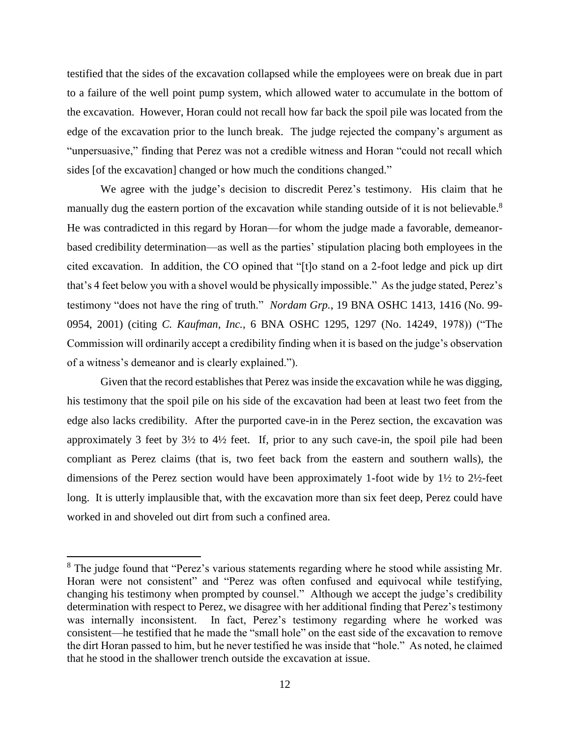testified that the sides of the excavation collapsed while the employees were on break due in part to a failure of the well point pump system, which allowed water to accumulate in the bottom of the excavation. However, Horan could not recall how far back the spoil pile was located from the edge of the excavation prior to the lunch break. The judge rejected the company's argument as "unpersuasive," finding that Perez was not a credible witness and Horan "could not recall which sides [of the excavation] changed or how much the conditions changed."

We agree with the judge's decision to discredit Perez's testimony. His claim that he manually dug the eastern portion of the excavation while standing outside of it is not believable.<sup>8</sup> He was contradicted in this regard by Horan—for whom the judge made a favorable, demeanorbased credibility determination—as well as the parties' stipulation placing both employees in the cited excavation. In addition, the CO opined that "[t]o stand on a 2-foot ledge and pick up dirt that's 4 feet below you with a shovel would be physically impossible." As the judge stated, Perez's testimony "does not have the ring of truth." *Nordam Grp.*, 19 BNA OSHC 1413, 1416 (No. 99- 0954, 2001) (citing *C. Kaufman, Inc.*, 6 BNA OSHC 1295, 1297 (No. 14249, 1978)) ("The Commission will ordinarily accept a credibility finding when it is based on the judge's observation of a witness's demeanor and is clearly explained.").

Given that the record establishes that Perez was inside the excavation while he was digging, his testimony that the spoil pile on his side of the excavation had been at least two feet from the edge also lacks credibility. After the purported cave-in in the Perez section, the excavation was approximately 3 feet by 3½ to 4½ feet. If, prior to any such cave-in, the spoil pile had been compliant as Perez claims (that is, two feet back from the eastern and southern walls), the dimensions of the Perez section would have been approximately 1-foot wide by 1½ to 2½-feet long. It is utterly implausible that, with the excavation more than six feet deep, Perez could have worked in and shoveled out dirt from such a confined area.

<sup>&</sup>lt;sup>8</sup> The judge found that "Perez's various statements regarding where he stood while assisting Mr. Horan were not consistent" and "Perez was often confused and equivocal while testifying, changing his testimony when prompted by counsel." Although we accept the judge's credibility determination with respect to Perez, we disagree with her additional finding that Perez's testimony was internally inconsistent. In fact, Perez's testimony regarding where he worked was consistent—he testified that he made the "small hole" on the east side of the excavation to remove the dirt Horan passed to him, but he never testified he was inside that "hole." As noted, he claimed that he stood in the shallower trench outside the excavation at issue.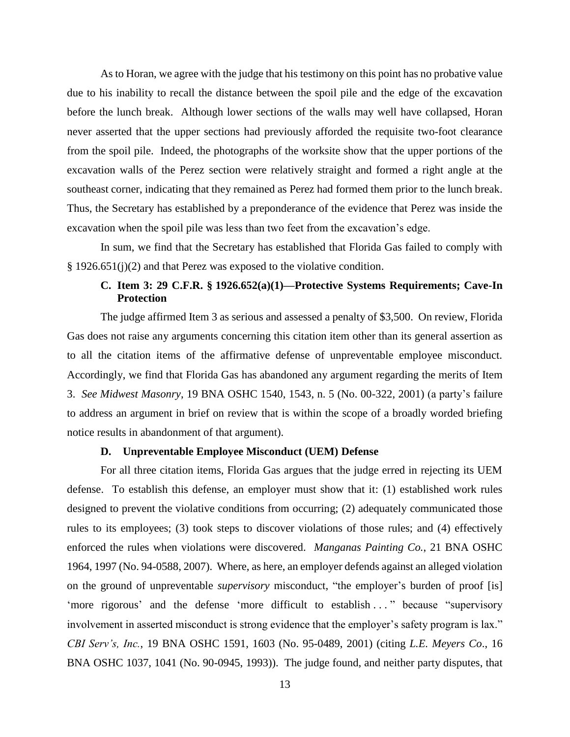As to Horan, we agree with the judge that his testimony on this point has no probative value due to his inability to recall the distance between the spoil pile and the edge of the excavation before the lunch break. Although lower sections of the walls may well have collapsed, Horan never asserted that the upper sections had previously afforded the requisite two-foot clearance from the spoil pile. Indeed, the photographs of the worksite show that the upper portions of the excavation walls of the Perez section were relatively straight and formed a right angle at the southeast corner, indicating that they remained as Perez had formed them prior to the lunch break. Thus, the Secretary has established by a preponderance of the evidence that Perez was inside the excavation when the spoil pile was less than two feet from the excavation's edge.

In sum, we find that the Secretary has established that Florida Gas failed to comply with § 1926.651(j)(2) and that Perez was exposed to the violative condition.

# **C. Item 3: 29 C.F.R. § 1926.652(a)(1)—Protective Systems Requirements; Cave-In Protection**

The judge affirmed Item 3 as serious and assessed a penalty of \$3,500. On review, Florida Gas does not raise any arguments concerning this citation item other than its general assertion as to all the citation items of the affirmative defense of unpreventable employee misconduct. Accordingly, we find that Florida Gas has abandoned any argument regarding the merits of Item 3. *See Midwest Masonry*, 19 BNA OSHC 1540, 1543, n. 5 (No. 00-322, 2001) (a party's failure to address an argument in brief on review that is within the scope of a broadly worded briefing notice results in abandonment of that argument).

## **D. Unpreventable Employee Misconduct (UEM) Defense**

For all three citation items, Florida Gas argues that the judge erred in rejecting its UEM defense. To establish this defense, an employer must show that it: (1) established work rules designed to prevent the violative conditions from occurring; (2) adequately communicated those rules to its employees; (3) took steps to discover violations of those rules; and (4) effectively enforced the rules when violations were discovered. *Manganas Painting Co.*, 21 BNA OSHC 1964, 1997 (No. 94-0588, 2007). Where, as here, an employer defends against an alleged violation on the ground of unpreventable *supervisory* misconduct, "the employer's burden of proof [is] 'more rigorous' and the defense 'more difficult to establish ..." because "supervisory involvement in asserted misconduct is strong evidence that the employer's safety program is lax." *CBI Serv's, Inc.*, 19 BNA OSHC 1591, 1603 (No. 95-0489, 2001) (citing *L.E. Meyers Co*., 16 BNA OSHC 1037, 1041 (No. 90-0945, 1993)). The judge found, and neither party disputes, that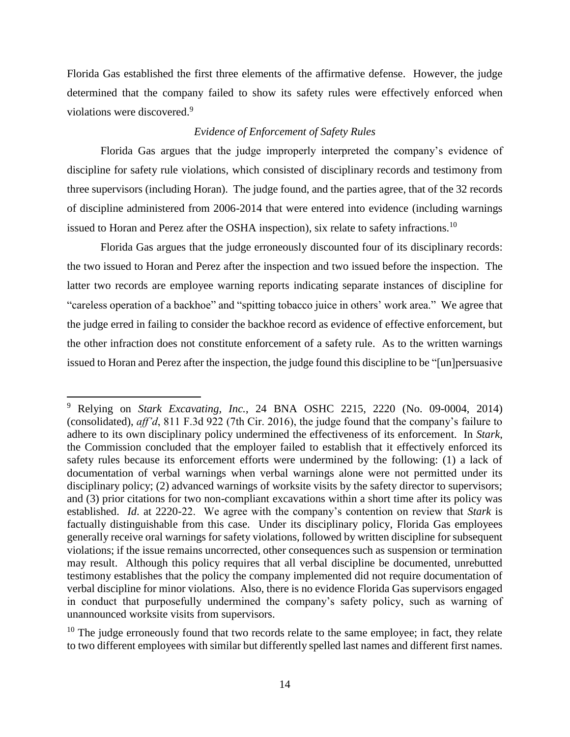Florida Gas established the first three elements of the affirmative defense. However, the judge determined that the company failed to show its safety rules were effectively enforced when violations were discovered.<sup>9</sup>

# *Evidence of Enforcement of Safety Rules*

Florida Gas argues that the judge improperly interpreted the company's evidence of discipline for safety rule violations, which consisted of disciplinary records and testimony from three supervisors (including Horan). The judge found, and the parties agree, that of the 32 records of discipline administered from 2006-2014 that were entered into evidence (including warnings issued to Horan and Perez after the OSHA inspection), six relate to safety infractions.<sup>10</sup>

Florida Gas argues that the judge erroneously discounted four of its disciplinary records: the two issued to Horan and Perez after the inspection and two issued before the inspection. The latter two records are employee warning reports indicating separate instances of discipline for "careless operation of a backhoe" and "spitting tobacco juice in others' work area." We agree that the judge erred in failing to consider the backhoe record as evidence of effective enforcement, but the other infraction does not constitute enforcement of a safety rule. As to the written warnings issued to Horan and Perez after the inspection, the judge found this discipline to be "[un]persuasive

<sup>9</sup> Relying on *Stark Excavating, Inc.*, 24 BNA OSHC 2215, 2220 (No. 09-0004, 2014) (consolidated), *aff'd*, 811 F.3d 922 (7th Cir. 2016), the judge found that the company's failure to adhere to its own disciplinary policy undermined the effectiveness of its enforcement. In *Stark*, the Commission concluded that the employer failed to establish that it effectively enforced its safety rules because its enforcement efforts were undermined by the following: (1) a lack of documentation of verbal warnings when verbal warnings alone were not permitted under its disciplinary policy; (2) advanced warnings of worksite visits by the safety director to supervisors; and (3) prior citations for two non-compliant excavations within a short time after its policy was established. *Id*. at 2220-22. We agree with the company's contention on review that *Stark* is factually distinguishable from this case. Under its disciplinary policy, Florida Gas employees generally receive oral warnings for safety violations, followed by written discipline for subsequent violations; if the issue remains uncorrected, other consequences such as suspension or termination may result. Although this policy requires that all verbal discipline be documented, unrebutted testimony establishes that the policy the company implemented did not require documentation of verbal discipline for minor violations. Also, there is no evidence Florida Gas supervisors engaged in conduct that purposefully undermined the company's safety policy, such as warning of unannounced worksite visits from supervisors.

 $10$  The judge erroneously found that two records relate to the same employee; in fact, they relate to two different employees with similar but differently spelled last names and different first names.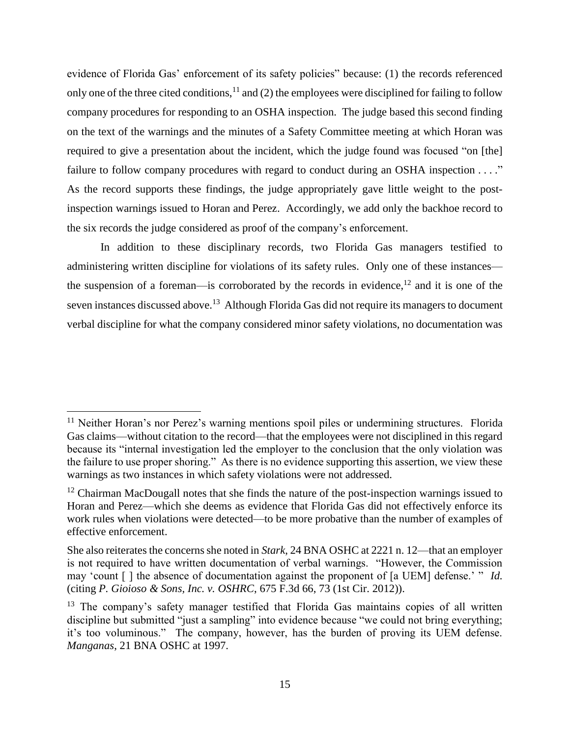evidence of Florida Gas' enforcement of its safety policies" because: (1) the records referenced only one of the three cited conditions,  $11$  and (2) the employees were disciplined for failing to follow company procedures for responding to an OSHA inspection. The judge based this second finding on the text of the warnings and the minutes of a Safety Committee meeting at which Horan was required to give a presentation about the incident, which the judge found was focused "on [the] failure to follow company procedures with regard to conduct during an OSHA inspection . . . ." As the record supports these findings, the judge appropriately gave little weight to the postinspection warnings issued to Horan and Perez. Accordingly, we add only the backhoe record to the six records the judge considered as proof of the company's enforcement.

In addition to these disciplinary records, two Florida Gas managers testified to administering written discipline for violations of its safety rules. Only one of these instances the suspension of a foreman—is corroborated by the records in evidence,<sup>12</sup> and it is one of the seven instances discussed above.<sup>13</sup> Although Florida Gas did not require its managers to document verbal discipline for what the company considered minor safety violations, no documentation was

 $11$  Neither Horan's nor Perez's warning mentions spoil piles or undermining structures. Florida Gas claims—without citation to the record—that the employees were not disciplined in this regard because its "internal investigation led the employer to the conclusion that the only violation was the failure to use proper shoring." As there is no evidence supporting this assertion, we view these warnings as two instances in which safety violations were not addressed.

 $12$  Chairman MacDougall notes that she finds the nature of the post-inspection warnings issued to Horan and Perez—which she deems as evidence that Florida Gas did not effectively enforce its work rules when violations were detected—to be more probative than the number of examples of effective enforcement.

She also reiterates the concerns she noted in *Stark*, 24 BNA OSHC at 2221 n. 12—that an employer is not required to have written documentation of verbal warnings. "However, the Commission may 'count [ ] the absence of documentation against the proponent of [a UEM] defense.' " *Id.* (citing *P. Gioioso & Sons, Inc. v. OSHRC*, 675 F.3d 66, 73 (1st Cir. 2012)).

 $13$  The company's safety manager testified that Florida Gas maintains copies of all written discipline but submitted "just a sampling" into evidence because "we could not bring everything; it's too voluminous." The company, however, has the burden of proving its UEM defense. *Manganas*, 21 BNA OSHC at 1997.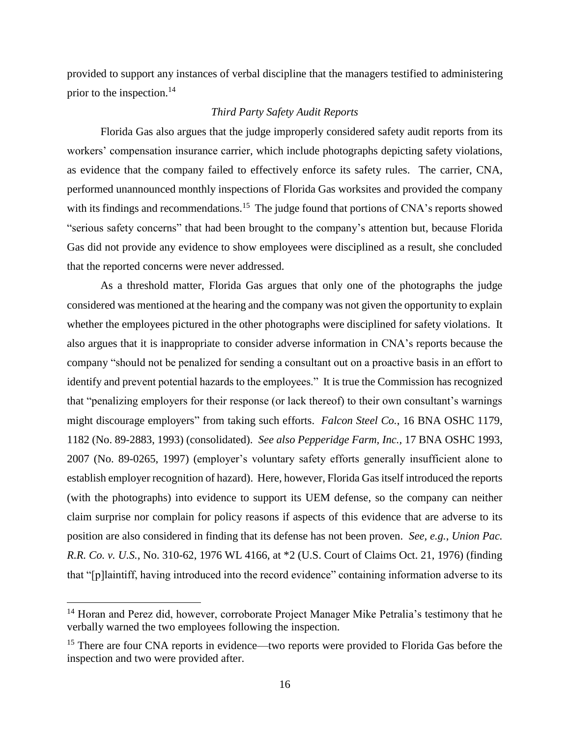provided to support any instances of verbal discipline that the managers testified to administering prior to the inspection. 14

# *Third Party Safety Audit Reports*

Florida Gas also argues that the judge improperly considered safety audit reports from its workers' compensation insurance carrier, which include photographs depicting safety violations, as evidence that the company failed to effectively enforce its safety rules. The carrier, CNA, performed unannounced monthly inspections of Florida Gas worksites and provided the company with its findings and recommendations.<sup>15</sup> The judge found that portions of CNA's reports showed "serious safety concerns" that had been brought to the company's attention but, because Florida Gas did not provide any evidence to show employees were disciplined as a result, she concluded that the reported concerns were never addressed.

As a threshold matter, Florida Gas argues that only one of the photographs the judge considered was mentioned at the hearing and the company was not given the opportunity to explain whether the employees pictured in the other photographs were disciplined for safety violations. It also argues that it is inappropriate to consider adverse information in CNA's reports because the company "should not be penalized for sending a consultant out on a proactive basis in an effort to identify and prevent potential hazards to the employees." It is true the Commission has recognized that "penalizing employers for their response (or lack thereof) to their own consultant's warnings might discourage employers" from taking such efforts. *Falcon Steel Co.*, 16 BNA OSHC 1179, 1182 (No. 89-2883, 1993) (consolidated). *See also Pepperidge Farm, Inc.,* 17 BNA OSHC 1993, 2007 (No. 89-0265, 1997) (employer's voluntary safety efforts generally insufficient alone to establish employer recognition of hazard). Here, however, Florida Gas itself introduced the reports (with the photographs) into evidence to support its UEM defense, so the company can neither claim surprise nor complain for policy reasons if aspects of this evidence that are adverse to its position are also considered in finding that its defense has not been proven. *See, e.g.*, *Union Pac. R.R. Co. v. U.S.*, No. 310-62, 1976 WL 4166, at \*2 (U.S. Court of Claims Oct. 21, 1976) (finding that "[p]laintiff, having introduced into the record evidence" containing information adverse to its

<sup>&</sup>lt;sup>14</sup> Horan and Perez did, however, corroborate Project Manager Mike Petralia's testimony that he verbally warned the two employees following the inspection.

<sup>&</sup>lt;sup>15</sup> There are four CNA reports in evidence—two reports were provided to Florida Gas before the inspection and two were provided after.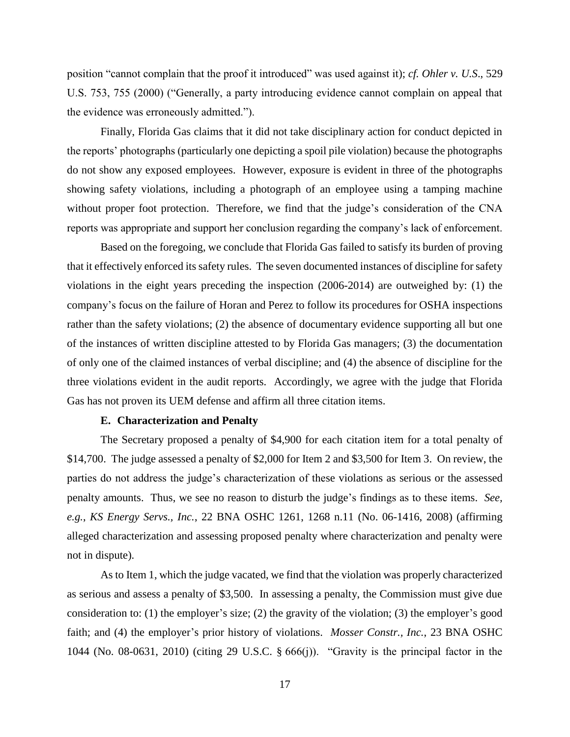position "cannot complain that the proof it introduced" was used against it); *cf. Ohler v. U.S*., 529 U.S. 753, 755 (2000) ("Generally, a party introducing evidence cannot complain on appeal that the evidence was erroneously admitted.").

Finally, Florida Gas claims that it did not take disciplinary action for conduct depicted in the reports' photographs (particularly one depicting a spoil pile violation) because the photographs do not show any exposed employees. However, exposure is evident in three of the photographs showing safety violations, including a photograph of an employee using a tamping machine without proper foot protection. Therefore, we find that the judge's consideration of the CNA reports was appropriate and support her conclusion regarding the company's lack of enforcement.

Based on the foregoing, we conclude that Florida Gas failed to satisfy its burden of proving that it effectively enforced its safety rules. The seven documented instances of discipline for safety violations in the eight years preceding the inspection (2006-2014) are outweighed by: (1) the company's focus on the failure of Horan and Perez to follow its procedures for OSHA inspections rather than the safety violations; (2) the absence of documentary evidence supporting all but one of the instances of written discipline attested to by Florida Gas managers; (3) the documentation of only one of the claimed instances of verbal discipline; and (4) the absence of discipline for the three violations evident in the audit reports. Accordingly, we agree with the judge that Florida Gas has not proven its UEM defense and affirm all three citation items.

### **E. Characterization and Penalty**

The Secretary proposed a penalty of \$4,900 for each citation item for a total penalty of \$14,700. The judge assessed a penalty of \$2,000 for Item 2 and \$3,500 for Item 3. On review, the parties do not address the judge's characterization of these violations as serious or the assessed penalty amounts. Thus, we see no reason to disturb the judge's findings as to these items. *See, e.g.*, *KS Energy Servs., Inc.*, 22 BNA OSHC 1261, 1268 n.11 (No. 06-1416, 2008) (affirming alleged characterization and assessing proposed penalty where characterization and penalty were not in dispute).

As to Item 1, which the judge vacated, we find that the violation was properly characterized as serious and assess a penalty of \$3,500. In assessing a penalty, the Commission must give due consideration to: (1) the employer's size; (2) the gravity of the violation; (3) the employer's good faith; and (4) the employer's prior history of violations. *Mosser Constr., Inc.*, 23 BNA OSHC 1044 (No. 08-0631, 2010) (citing 29 U.S.C. § 666(j)). "Gravity is the principal factor in the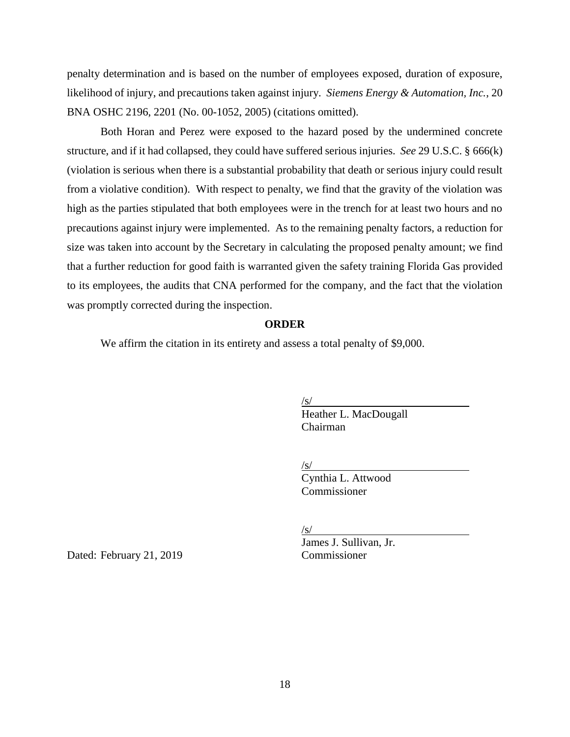penalty determination and is based on the number of employees exposed, duration of exposure, likelihood of injury, and precautions taken against injury. *Siemens Energy & Automation, Inc.*, 20 BNA OSHC 2196, 2201 (No. 00-1052, 2005) (citations omitted).

Both Horan and Perez were exposed to the hazard posed by the undermined concrete structure, and if it had collapsed, they could have suffered serious injuries. *See* 29 U.S.C. § 666(k) (violation is serious when there is a substantial probability that death or serious injury could result from a violative condition). With respect to penalty, we find that the gravity of the violation was high as the parties stipulated that both employees were in the trench for at least two hours and no precautions against injury were implemented. As to the remaining penalty factors, a reduction for size was taken into account by the Secretary in calculating the proposed penalty amount; we find that a further reduction for good faith is warranted given the safety training Florida Gas provided to its employees, the audits that CNA performed for the company, and the fact that the violation was promptly corrected during the inspection.

### **ORDER**

We affirm the citation in its entirety and assess a total penalty of \$9,000.

 $\sqrt{s/}$ 

Heather L. MacDougall Chairman

 $\sqrt{s/}$ 

Cynthia L. Attwood Commissioner

 $\sqrt{s/}$ 

James J. Sullivan, Jr.

Dated: February 21, 2019 Commissioner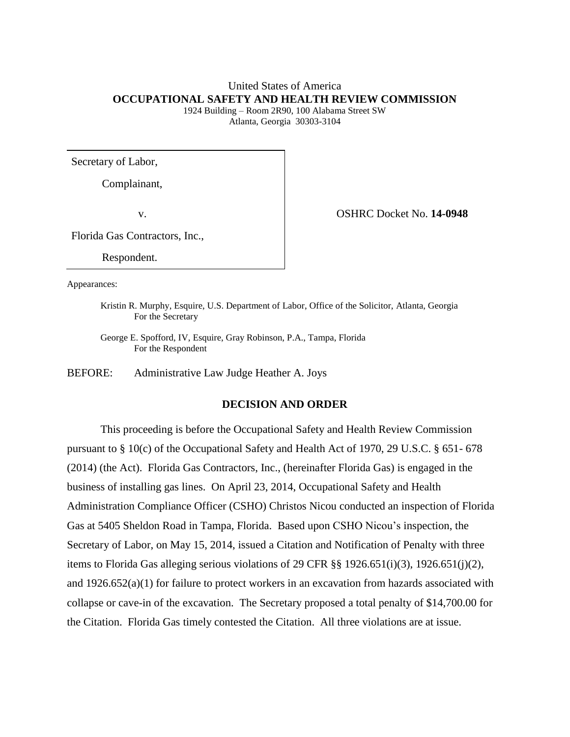# United States of America **OCCUPATIONAL SAFETY AND HEALTH REVIEW COMMISSION**

1924 Building – Room 2R90, 100 Alabama Street SW Atlanta, Georgia 30303-3104

Secretary of Labor,

Complainant,

v. OSHRC Docket No. **14-0948**

Florida Gas Contractors, Inc.,

Respondent.

Appearances:

Kristin R. Murphy, Esquire, U.S. Department of Labor, Office of the Solicitor, Atlanta, Georgia For the Secretary

George E. Spofford, IV, Esquire, Gray Robinson, P.A., Tampa, Florida For the Respondent

BEFORE: Administrative Law Judge Heather A. Joys

# **DECISION AND ORDER**

This proceeding is before the Occupational Safety and Health Review Commission pursuant to § 10(c) of the Occupational Safety and Health Act of 1970, 29 U.S.C. § 651- 678 (2014) (the Act). Florida Gas Contractors, Inc., (hereinafter Florida Gas) is engaged in the business of installing gas lines. On April 23, 2014, Occupational Safety and Health Administration Compliance Officer (CSHO) Christos Nicou conducted an inspection of Florida Gas at 5405 Sheldon Road in Tampa, Florida. Based upon CSHO Nicou's inspection, the Secretary of Labor, on May 15, 2014, issued a Citation and Notification of Penalty with three items to Florida Gas alleging serious violations of 29 CFR  $\S$ § 1926.651(i)(3), 1926.651(j)(2), and 1926.652(a)(1) for failure to protect workers in an excavation from hazards associated with collapse or cave-in of the excavation. The Secretary proposed a total penalty of \$14,700.00 for the Citation. Florida Gas timely contested the Citation. All three violations are at issue.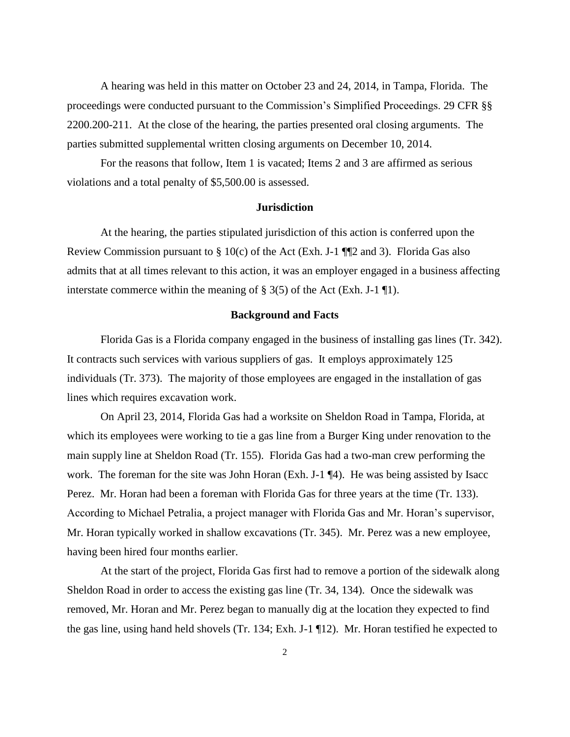A hearing was held in this matter on October 23 and 24, 2014, in Tampa, Florida. The proceedings were conducted pursuant to the Commission's Simplified Proceedings. 29 CFR §§ 2200.200-211. At the close of the hearing, the parties presented oral closing arguments. The parties submitted supplemental written closing arguments on December 10, 2014.

For the reasons that follow, Item 1 is vacated; Items 2 and 3 are affirmed as serious violations and a total penalty of \$5,500.00 is assessed.

#### **Jurisdiction**

At the hearing, the parties stipulated jurisdiction of this action is conferred upon the Review Commission pursuant to  $\S$  10(c) of the Act (Exh. J-1  $\P$  $2$  and 3). Florida Gas also admits that at all times relevant to this action, it was an employer engaged in a business affecting interstate commerce within the meaning of  $\S 3(5)$  of the Act (Exh. J-1 \in 1).

#### **Background and Facts**

Florida Gas is a Florida company engaged in the business of installing gas lines (Tr. 342). It contracts such services with various suppliers of gas. It employs approximately 125 individuals (Tr. 373). The majority of those employees are engaged in the installation of gas lines which requires excavation work.

On April 23, 2014, Florida Gas had a worksite on Sheldon Road in Tampa, Florida, at which its employees were working to tie a gas line from a Burger King under renovation to the main supply line at Sheldon Road (Tr. 155). Florida Gas had a two-man crew performing the work. The foreman for the site was John Horan (Exh. J-1  $\P$ 4). He was being assisted by Isacc Perez. Mr. Horan had been a foreman with Florida Gas for three years at the time (Tr. 133). According to Michael Petralia, a project manager with Florida Gas and Mr. Horan's supervisor, Mr. Horan typically worked in shallow excavations (Tr. 345). Mr. Perez was a new employee, having been hired four months earlier.

At the start of the project, Florida Gas first had to remove a portion of the sidewalk along Sheldon Road in order to access the existing gas line (Tr. 34, 134). Once the sidewalk was removed, Mr. Horan and Mr. Perez began to manually dig at the location they expected to find the gas line, using hand held shovels (Tr. 134; Exh. J-1 ¶12). Mr. Horan testified he expected to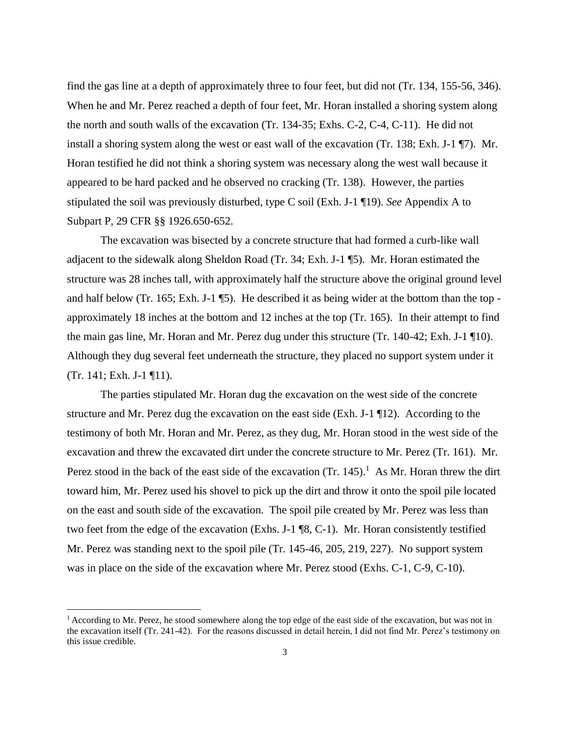find the gas line at a depth of approximately three to four feet, but did not (Tr. 134, 155-56, 346). When he and Mr. Perez reached a depth of four feet, Mr. Horan installed a shoring system along the north and south walls of the excavation (Tr. 134-35; Exhs. C-2, C-4, C-11). He did not install a shoring system along the west or east wall of the excavation (Tr. 138; Exh. J-1 ¶7). Mr. Horan testified he did not think a shoring system was necessary along the west wall because it appeared to be hard packed and he observed no cracking (Tr. 138). However, the parties stipulated the soil was previously disturbed, type C soil (Exh. J-1 ¶19). *See* Appendix A to Subpart P, 29 CFR §§ 1926.650-652.

The excavation was bisected by a concrete structure that had formed a curb-like wall adjacent to the sidewalk along Sheldon Road (Tr. 34; Exh. J-1 ¶5). Mr. Horan estimated the structure was 28 inches tall, with approximately half the structure above the original ground level and half below (Tr. 165; Exh. J-1 ¶5). He described it as being wider at the bottom than the top approximately 18 inches at the bottom and 12 inches at the top (Tr. 165). In their attempt to find the main gas line, Mr. Horan and Mr. Perez dug under this structure (Tr. 140-42; Exh. J-1 ¶10). Although they dug several feet underneath the structure, they placed no support system under it (Tr. 141; Exh. J-1 ¶11).

The parties stipulated Mr. Horan dug the excavation on the west side of the concrete structure and Mr. Perez dug the excavation on the east side (Exh. J-1 ¶12). According to the testimony of both Mr. Horan and Mr. Perez, as they dug, Mr. Horan stood in the west side of the excavation and threw the excavated dirt under the concrete structure to Mr. Perez (Tr. 161). Mr. Perez stood in the back of the east side of the excavation  $(Tr. 145)$ .<sup>1</sup> As Mr. Horan threw the dirt toward him, Mr. Perez used his shovel to pick up the dirt and throw it onto the spoil pile located on the east and south side of the excavation. The spoil pile created by Mr. Perez was less than two feet from the edge of the excavation (Exhs. J-1 ¶8, C-1). Mr. Horan consistently testified Mr. Perez was standing next to the spoil pile (Tr. 145-46, 205, 219, 227). No support system was in place on the side of the excavation where Mr. Perez stood (Exhs. C-1, C-9, C-10).

 $1$  According to Mr. Perez, he stood somewhere along the top edge of the east side of the excavation, but was not in the excavation itself (Tr. 241-42). For the reasons discussed in detail herein, I did not find Mr. Perez's testimony on this issue credible.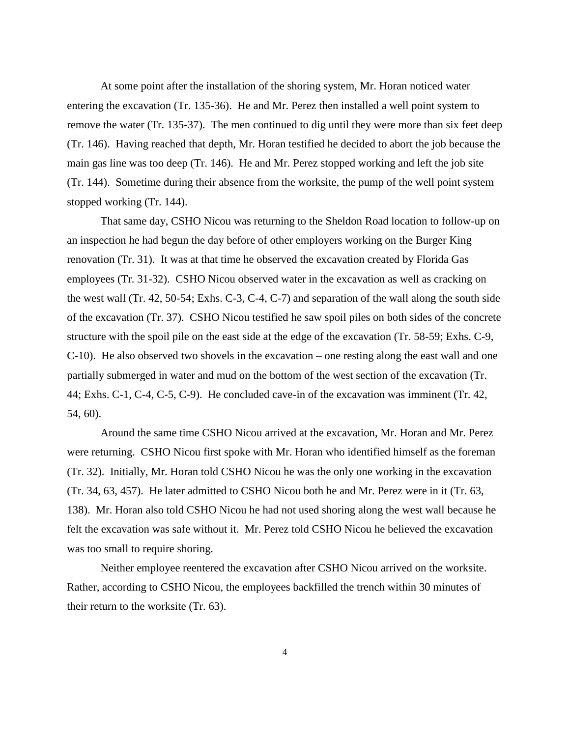At some point after the installation of the shoring system, Mr. Horan noticed water entering the excavation (Tr. 135-36). He and Mr. Perez then installed a well point system to remove the water (Tr. 135-37). The men continued to dig until they were more than six feet deep (Tr. 146). Having reached that depth, Mr. Horan testified he decided to abort the job because the main gas line was too deep (Tr. 146). He and Mr. Perez stopped working and left the job site (Tr. 144). Sometime during their absence from the worksite, the pump of the well point system stopped working (Tr. 144).

That same day, CSHO Nicou was returning to the Sheldon Road location to follow-up on an inspection he had begun the day before of other employers working on the Burger King renovation (Tr. 31). It was at that time he observed the excavation created by Florida Gas employees (Tr. 31-32). CSHO Nicou observed water in the excavation as well as cracking on the west wall (Tr. 42, 50-54; Exhs. C-3, C-4, C-7) and separation of the wall along the south side of the excavation (Tr. 37). CSHO Nicou testified he saw spoil piles on both sides of the concrete structure with the spoil pile on the east side at the edge of the excavation (Tr. 58-59; Exhs. C-9, C-10). He also observed two shovels in the excavation – one resting along the east wall and one partially submerged in water and mud on the bottom of the west section of the excavation (Tr. 44; Exhs. C-1, C-4, C-5, C-9). He concluded cave-in of the excavation was imminent (Tr. 42, 54, 60).

Around the same time CSHO Nicou arrived at the excavation, Mr. Horan and Mr. Perez were returning. CSHO Nicou first spoke with Mr. Horan who identified himself as the foreman (Tr. 32). Initially, Mr. Horan told CSHO Nicou he was the only one working in the excavation (Tr. 34, 63, 457). He later admitted to CSHO Nicou both he and Mr. Perez were in it (Tr. 63, 138). Mr. Horan also told CSHO Nicou he had not used shoring along the west wall because he felt the excavation was safe without it. Mr. Perez told CSHO Nicou he believed the excavation was too small to require shoring.

Neither employee reentered the excavation after CSHO Nicou arrived on the worksite. Rather, according to CSHO Nicou, the employees backfilled the trench within 30 minutes of their return to the worksite (Tr. 63).

4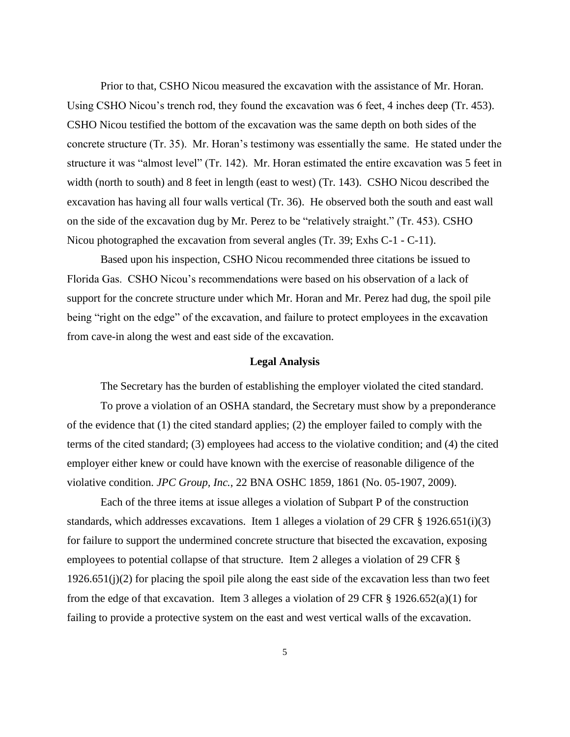Prior to that, CSHO Nicou measured the excavation with the assistance of Mr. Horan. Using CSHO Nicou's trench rod, they found the excavation was 6 feet, 4 inches deep (Tr. 453). CSHO Nicou testified the bottom of the excavation was the same depth on both sides of the concrete structure (Tr. 35). Mr. Horan's testimony was essentially the same. He stated under the structure it was "almost level" (Tr. 142). Mr. Horan estimated the entire excavation was 5 feet in width (north to south) and 8 feet in length (east to west) (Tr. 143). CSHO Nicou described the excavation has having all four walls vertical (Tr. 36). He observed both the south and east wall on the side of the excavation dug by Mr. Perez to be "relatively straight." (Tr. 453). CSHO Nicou photographed the excavation from several angles (Tr. 39; Exhs C-1 - C-11).

Based upon his inspection, CSHO Nicou recommended three citations be issued to Florida Gas. CSHO Nicou's recommendations were based on his observation of a lack of support for the concrete structure under which Mr. Horan and Mr. Perez had dug, the spoil pile being "right on the edge" of the excavation, and failure to protect employees in the excavation from cave-in along the west and east side of the excavation.

#### **Legal Analysis**

The Secretary has the burden of establishing the employer violated the cited standard.

To prove a violation of an OSHA standard, the Secretary must show by a preponderance of the evidence that (1) the cited standard applies; (2) the employer failed to comply with the terms of the cited standard; (3) employees had access to the violative condition; and (4) the cited employer either knew or could have known with the exercise of reasonable diligence of the violative condition. *JPC Group, Inc.*, 22 BNA OSHC 1859, 1861 (No. 05-1907, 2009).

Each of the three items at issue alleges a violation of Subpart P of the construction standards, which addresses excavations. Item 1 alleges a violation of 29 CFR § 1926.651(i)(3) for failure to support the undermined concrete structure that bisected the excavation, exposing employees to potential collapse of that structure. Item 2 alleges a violation of 29 CFR §  $1926.651(j)(2)$  for placing the spoil pile along the east side of the excavation less than two feet from the edge of that excavation. Item 3 alleges a violation of 29 CFR § 1926.652(a)(1) for failing to provide a protective system on the east and west vertical walls of the excavation.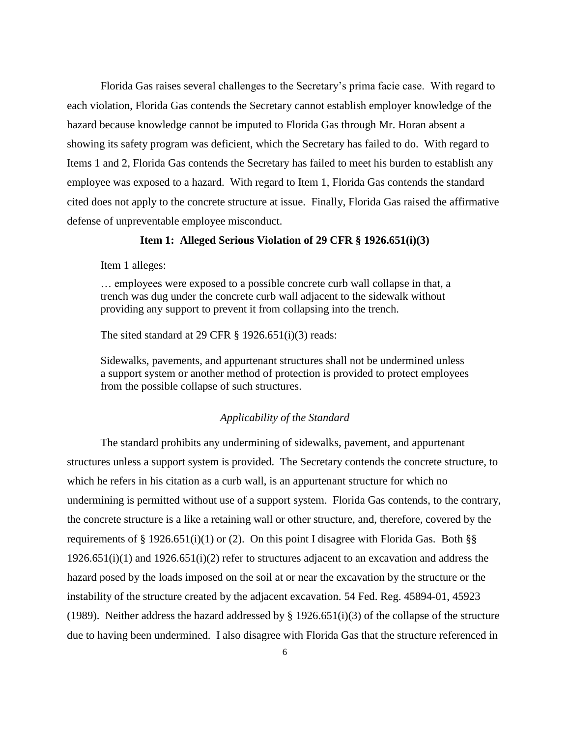Florida Gas raises several challenges to the Secretary's prima facie case. With regard to each violation, Florida Gas contends the Secretary cannot establish employer knowledge of the hazard because knowledge cannot be imputed to Florida Gas through Mr. Horan absent a showing its safety program was deficient, which the Secretary has failed to do. With regard to Items 1 and 2, Florida Gas contends the Secretary has failed to meet his burden to establish any employee was exposed to a hazard. With regard to Item 1, Florida Gas contends the standard cited does not apply to the concrete structure at issue. Finally, Florida Gas raised the affirmative defense of unpreventable employee misconduct.

# **Item 1: Alleged Serious Violation of 29 CFR § 1926.651(i)(3)**

Item 1 alleges:

… employees were exposed to a possible concrete curb wall collapse in that, a trench was dug under the concrete curb wall adjacent to the sidewalk without providing any support to prevent it from collapsing into the trench.

The sited standard at 29 CFR  $\S$  1926.651(i)(3) reads:

Sidewalks, pavements, and appurtenant structures shall not be undermined unless a support system or another method of protection is provided to protect employees from the possible collapse of such structures.

#### *Applicability of the Standard*

The standard prohibits any undermining of sidewalks, pavement, and appurtenant structures unless a support system is provided. The Secretary contends the concrete structure, to which he refers in his citation as a curb wall, is an appurtenant structure for which no undermining is permitted without use of a support system. Florida Gas contends, to the contrary, the concrete structure is a like a retaining wall or other structure, and, therefore, covered by the requirements of § 1926.651(i)(1) or (2). On this point I disagree with Florida Gas. Both §§  $1926.651(i)(1)$  and  $1926.651(i)(2)$  refer to structures adjacent to an excavation and address the hazard posed by the loads imposed on the soil at or near the excavation by the structure or the instability of the structure created by the adjacent excavation. 54 Fed. Reg. 45894-01, 45923 (1989). Neither address the hazard addressed by  $\S$  1926.651(i)(3) of the collapse of the structure due to having been undermined. I also disagree with Florida Gas that the structure referenced in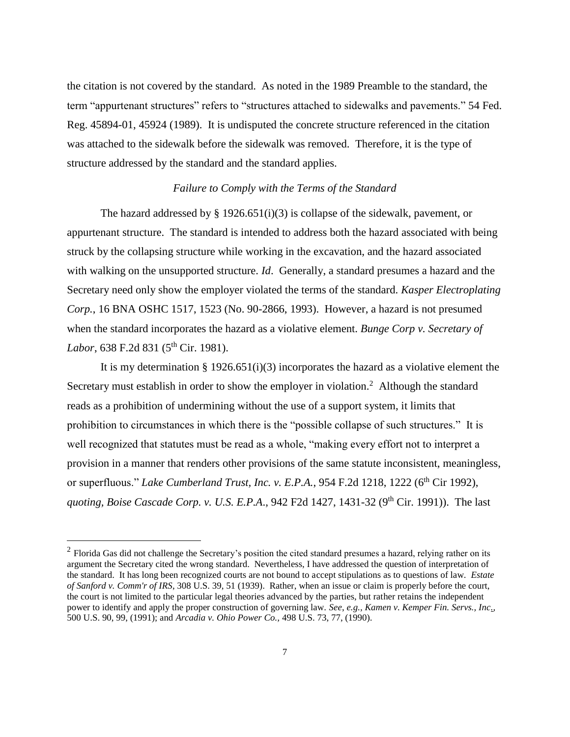the citation is not covered by the standard. As noted in the 1989 Preamble to the standard, the term "appurtenant structures" refers to "structures attached to sidewalks and pavements." 54 Fed. Reg. 45894-01, 45924 (1989). It is undisputed the concrete structure referenced in the citation was attached to the sidewalk before the sidewalk was removed. Therefore, it is the type of structure addressed by the standard and the standard applies.

### *Failure to Comply with the Terms of the Standard*

The hazard addressed by  $\S$  1926.651(i)(3) is collapse of the sidewalk, pavement, or appurtenant structure. The standard is intended to address both the hazard associated with being struck by the collapsing structure while working in the excavation, and the hazard associated with walking on the unsupported structure. *Id*. Generally, a standard presumes a hazard and the Secretary need only show the employer violated the terms of the standard. *Kasper Electroplating Corp.*, 16 BNA OSHC 1517, 1523 (No. 90-2866, 1993). However, a hazard is not presumed when the standard incorporates the hazard as a violative element. *Bunge Corp v. Secretary of Labor*, 638 F.2d 831 (5<sup>th</sup> Cir. 1981).

It is my determination § 1926.651(i)(3) incorporates the hazard as a violative element the Secretary must establish in order to show the employer in violation.<sup>2</sup> Although the standard reads as a prohibition of undermining without the use of a support system, it limits that prohibition to circumstances in which there is the "possible collapse of such structures." It is well recognized that statutes must be read as a whole, "making every effort not to interpret a provision in a manner that renders other provisions of the same statute inconsistent, meaningless, or superfluous." *Lake Cumberland Trust, Inc. v. E.P.A.*, 954 F.2d 1218, 1222 (6<sup>th</sup> Cir 1992), *quoting, Boise Cascade Corp. v. U.S. E.P.A.*, 942 F2d 1427, 1431-32 (9<sup>th</sup> Cir. 1991)). The last

 $2$  Florida Gas did not challenge the Secretary's position the cited standard presumes a hazard, relying rather on its argument the Secretary cited the wrong standard. Nevertheless, I have addressed the question of interpretation of the standard. It has long been recognized courts are not bound to accept stipulations as to questions of law. *Estate of Sanford v. Comm'r of IRS*, 308 U.S. 39, 51 (1939). Rather, when an issue or claim is properly before the court, the court is not limited to the particular legal theories advanced by the parties, but rather retains the independent power to identify and apply the proper construction of governing law. *See*, *e.g., Kamen v. Kemper Fin. Servs., Inc.,* 500 U.S. 90, 99, (1991); and *Arcadia v. Ohio Power Co.,* 498 U.S. 73, 77, (1990).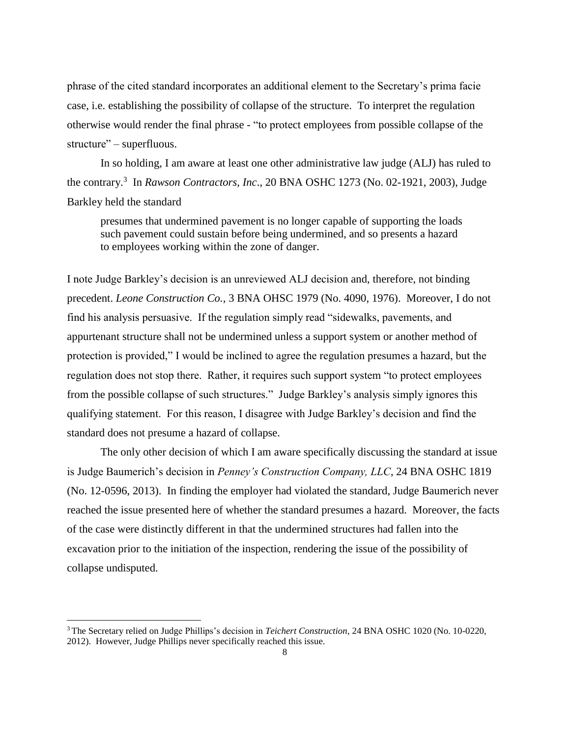phrase of the cited standard incorporates an additional element to the Secretary's prima facie case, i.e. establishing the possibility of collapse of the structure. To interpret the regulation otherwise would render the final phrase - "to protect employees from possible collapse of the structure" – superfluous.

In so holding, I am aware at least one other administrative law judge (ALJ) has ruled to the contrary.<sup>3</sup> In *Rawson Contractors, Inc*., 20 BNA OSHC 1273 (No. 02-1921, 2003), Judge Barkley held the standard

presumes that undermined pavement is no longer capable of supporting the loads such pavement could sustain before being undermined, and so presents a hazard to employees working within the zone of danger.

I note Judge Barkley's decision is an unreviewed ALJ decision and, therefore, not binding precedent. *Leone Construction Co.,* 3 BNA OHSC 1979 (No. 4090, 1976). Moreover, I do not find his analysis persuasive. If the regulation simply read "sidewalks, pavements, and appurtenant structure shall not be undermined unless a support system or another method of protection is provided," I would be inclined to agree the regulation presumes a hazard, but the regulation does not stop there. Rather, it requires such support system "to protect employees from the possible collapse of such structures." Judge Barkley's analysis simply ignores this qualifying statement. For this reason, I disagree with Judge Barkley's decision and find the standard does not presume a hazard of collapse.

The only other decision of which I am aware specifically discussing the standard at issue is Judge Baumerich's decision in *Penney's Construction Company, LLC*, 24 BNA OSHC 1819 (No. 12-0596, 2013). In finding the employer had violated the standard, Judge Baumerich never reached the issue presented here of whether the standard presumes a hazard. Moreover, the facts of the case were distinctly different in that the undermined structures had fallen into the excavation prior to the initiation of the inspection, rendering the issue of the possibility of collapse undisputed.

<sup>3</sup> The Secretary relied on Judge Phillips's decision in *Teichert Construction*, 24 BNA OSHC 1020 (No. 10-0220, 2012). However, Judge Phillips never specifically reached this issue.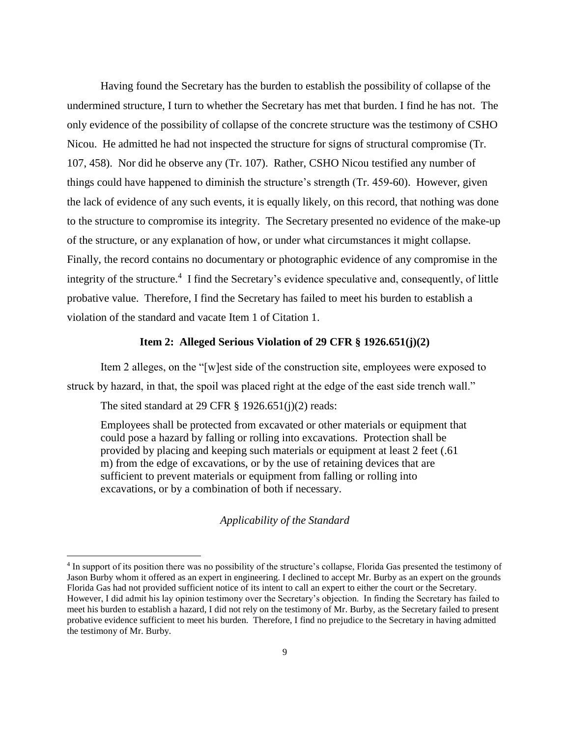Having found the Secretary has the burden to establish the possibility of collapse of the undermined structure, I turn to whether the Secretary has met that burden. I find he has not. The only evidence of the possibility of collapse of the concrete structure was the testimony of CSHO Nicou. He admitted he had not inspected the structure for signs of structural compromise (Tr. 107, 458). Nor did he observe any (Tr. 107). Rather, CSHO Nicou testified any number of things could have happened to diminish the structure's strength (Tr. 459-60). However, given the lack of evidence of any such events, it is equally likely, on this record, that nothing was done to the structure to compromise its integrity. The Secretary presented no evidence of the make-up of the structure, or any explanation of how, or under what circumstances it might collapse. Finally, the record contains no documentary or photographic evidence of any compromise in the integrity of the structure.<sup>4</sup> I find the Secretary's evidence speculative and, consequently, of little probative value. Therefore, I find the Secretary has failed to meet his burden to establish a violation of the standard and vacate Item 1 of Citation 1.

#### **Item 2: Alleged Serious Violation of 29 CFR § 1926.651(j)(2)**

Item 2 alleges, on the "[w]est side of the construction site, employees were exposed to struck by hazard, in that, the spoil was placed right at the edge of the east side trench wall."

The sited standard at 29 CFR § 1926.651(j)(2) reads:

 $\overline{a}$ 

Employees shall be protected from excavated or other materials or equipment that could pose a hazard by falling or rolling into excavations. Protection shall be provided by placing and keeping such materials or equipment at least 2 feet (.61 m) from the edge of excavations, or by the use of retaining devices that are sufficient to prevent materials or equipment from falling or rolling into excavations, or by a combination of both if necessary.

#### *Applicability of the Standard*

<sup>4</sup> In support of its position there was no possibility of the structure's collapse, Florida Gas presented the testimony of Jason Burby whom it offered as an expert in engineering. I declined to accept Mr. Burby as an expert on the grounds Florida Gas had not provided sufficient notice of its intent to call an expert to either the court or the Secretary. However, I did admit his lay opinion testimony over the Secretary's objection. In finding the Secretary has failed to meet his burden to establish a hazard, I did not rely on the testimony of Mr. Burby, as the Secretary failed to present probative evidence sufficient to meet his burden. Therefore, I find no prejudice to the Secretary in having admitted the testimony of Mr. Burby.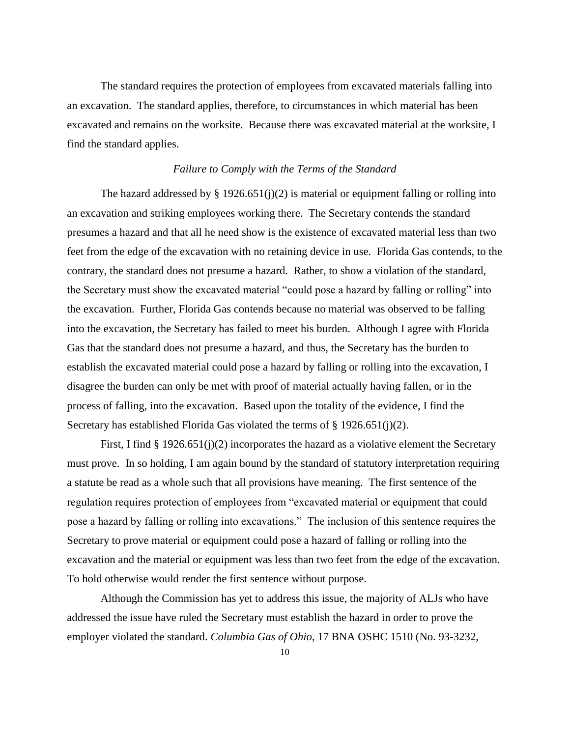The standard requires the protection of employees from excavated materials falling into an excavation. The standard applies, therefore, to circumstances in which material has been excavated and remains on the worksite. Because there was excavated material at the worksite, I find the standard applies.

## *Failure to Comply with the Terms of the Standard*

The hazard addressed by  $\S 1926.651(j)(2)$  is material or equipment falling or rolling into an excavation and striking employees working there. The Secretary contends the standard presumes a hazard and that all he need show is the existence of excavated material less than two feet from the edge of the excavation with no retaining device in use. Florida Gas contends, to the contrary, the standard does not presume a hazard. Rather, to show a violation of the standard, the Secretary must show the excavated material "could pose a hazard by falling or rolling" into the excavation. Further, Florida Gas contends because no material was observed to be falling into the excavation, the Secretary has failed to meet his burden. Although I agree with Florida Gas that the standard does not presume a hazard, and thus, the Secretary has the burden to establish the excavated material could pose a hazard by falling or rolling into the excavation, I disagree the burden can only be met with proof of material actually having fallen, or in the process of falling, into the excavation. Based upon the totality of the evidence, I find the Secretary has established Florida Gas violated the terms of § 1926.651(j)(2).

First, I find  $\S 1926.651(j)(2)$  incorporates the hazard as a violative element the Secretary must prove. In so holding, I am again bound by the standard of statutory interpretation requiring a statute be read as a whole such that all provisions have meaning. The first sentence of the regulation requires protection of employees from "excavated material or equipment that could pose a hazard by falling or rolling into excavations." The inclusion of this sentence requires the Secretary to prove material or equipment could pose a hazard of falling or rolling into the excavation and the material or equipment was less than two feet from the edge of the excavation. To hold otherwise would render the first sentence without purpose.

Although the Commission has yet to address this issue, the majority of ALJs who have addressed the issue have ruled the Secretary must establish the hazard in order to prove the employer violated the standard. *Columbia Gas of Ohio*, 17 BNA OSHC 1510 (No. 93-3232,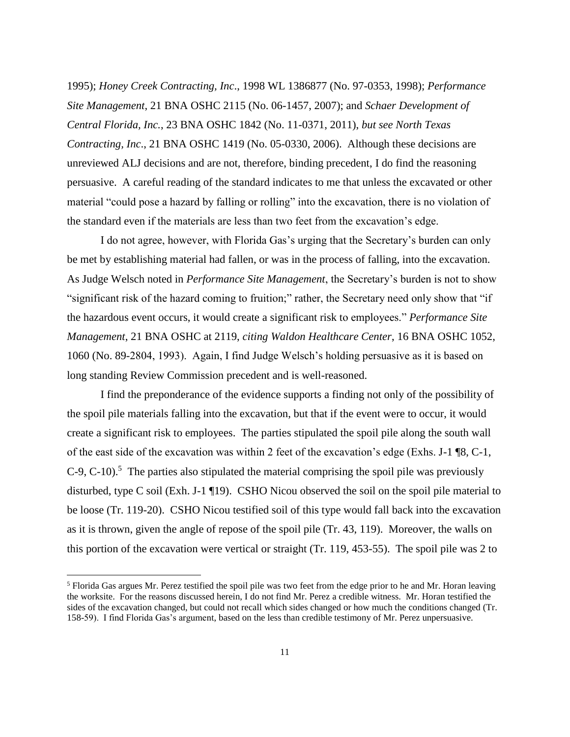1995); *Honey Creek Contracting, Inc*., 1998 WL 1386877 (No. 97-0353, 1998); *Performance Site Management*, 21 BNA OSHC 2115 (No. 06-1457, 2007); and *Schaer Development of Central Florida, Inc.*, 23 BNA OSHC 1842 (No. 11-0371, 2011), *but see North Texas Contracting, Inc*., 21 BNA OSHC 1419 (No. 05-0330, 2006). Although these decisions are unreviewed ALJ decisions and are not, therefore, binding precedent, I do find the reasoning persuasive. A careful reading of the standard indicates to me that unless the excavated or other material "could pose a hazard by falling or rolling" into the excavation, there is no violation of the standard even if the materials are less than two feet from the excavation's edge.

I do not agree, however, with Florida Gas's urging that the Secretary's burden can only be met by establishing material had fallen, or was in the process of falling, into the excavation. As Judge Welsch noted in *Performance Site Management*, the Secretary's burden is not to show "significant risk of the hazard coming to fruition;" rather, the Secretary need only show that "if the hazardous event occurs, it would create a significant risk to employees." *Performance Site Management*, 21 BNA OSHC at 2119, *citing Waldon Healthcare Center*, 16 BNA OSHC 1052, 1060 (No. 89-2804, 1993). Again, I find Judge Welsch's holding persuasive as it is based on long standing Review Commission precedent and is well-reasoned.

I find the preponderance of the evidence supports a finding not only of the possibility of the spoil pile materials falling into the excavation, but that if the event were to occur, it would create a significant risk to employees. The parties stipulated the spoil pile along the south wall of the east side of the excavation was within 2 feet of the excavation's edge (Exhs. J-1 ¶8, C-1,  $C$ -9,  $C$ -10).<sup>5</sup> The parties also stipulated the material comprising the spoil pile was previously disturbed, type C soil (Exh. J-1 ¶19). CSHO Nicou observed the soil on the spoil pile material to be loose (Tr. 119-20). CSHO Nicou testified soil of this type would fall back into the excavation as it is thrown, given the angle of repose of the spoil pile (Tr. 43, 119). Moreover, the walls on this portion of the excavation were vertical or straight (Tr. 119, 453-55). The spoil pile was 2 to

 $<sup>5</sup>$  Florida Gas argues Mr. Perez testified the spoil pile was two feet from the edge prior to he and Mr. Horan leaving</sup> the worksite. For the reasons discussed herein, I do not find Mr. Perez a credible witness. Mr. Horan testified the sides of the excavation changed, but could not recall which sides changed or how much the conditions changed (Tr. 158-59). I find Florida Gas's argument, based on the less than credible testimony of Mr. Perez unpersuasive.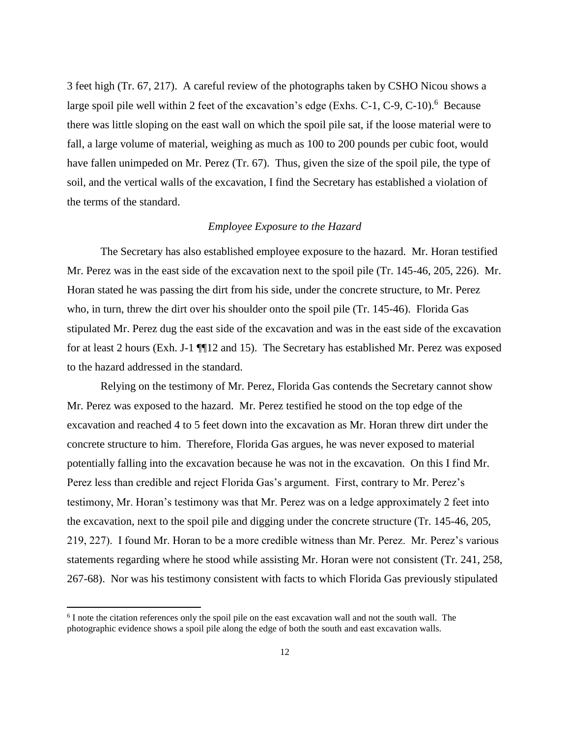3 feet high (Tr. 67, 217). A careful review of the photographs taken by CSHO Nicou shows a large spoil pile well within 2 feet of the excavation's edge (Exhs. C-1, C-9, C-10).<sup>6</sup> Because there was little sloping on the east wall on which the spoil pile sat, if the loose material were to fall, a large volume of material, weighing as much as 100 to 200 pounds per cubic foot, would have fallen unimpeded on Mr. Perez (Tr. 67). Thus, given the size of the spoil pile, the type of soil, and the vertical walls of the excavation, I find the Secretary has established a violation of the terms of the standard.

### *Employee Exposure to the Hazard*

The Secretary has also established employee exposure to the hazard. Mr. Horan testified Mr. Perez was in the east side of the excavation next to the spoil pile (Tr. 145-46, 205, 226). Mr. Horan stated he was passing the dirt from his side, under the concrete structure, to Mr. Perez who, in turn, threw the dirt over his shoulder onto the spoil pile (Tr. 145-46). Florida Gas stipulated Mr. Perez dug the east side of the excavation and was in the east side of the excavation for at least 2 hours (Exh. J-1 ¶¶12 and 15). The Secretary has established Mr. Perez was exposed to the hazard addressed in the standard.

Relying on the testimony of Mr. Perez, Florida Gas contends the Secretary cannot show Mr. Perez was exposed to the hazard. Mr. Perez testified he stood on the top edge of the excavation and reached 4 to 5 feet down into the excavation as Mr. Horan threw dirt under the concrete structure to him. Therefore, Florida Gas argues, he was never exposed to material potentially falling into the excavation because he was not in the excavation. On this I find Mr. Perez less than credible and reject Florida Gas's argument. First, contrary to Mr. Perez's testimony, Mr. Horan's testimony was that Mr. Perez was on a ledge approximately 2 feet into the excavation, next to the spoil pile and digging under the concrete structure (Tr. 145-46, 205, 219, 227). I found Mr. Horan to be a more credible witness than Mr. Perez. Mr. Perez's various statements regarding where he stood while assisting Mr. Horan were not consistent (Tr. 241, 258, 267-68). Nor was his testimony consistent with facts to which Florida Gas previously stipulated

<sup>&</sup>lt;sup>6</sup> I note the citation references only the spoil pile on the east excavation wall and not the south wall. The photographic evidence shows a spoil pile along the edge of both the south and east excavation walls.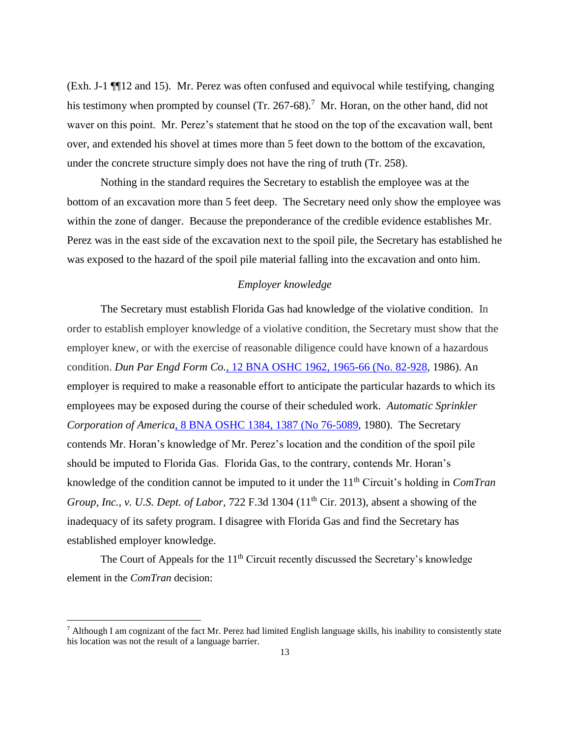(Exh. J-1 ¶¶12 and 15). Mr. Perez was often confused and equivocal while testifying, changing his testimony when prompted by counsel (Tr. 267-68).<sup>7</sup> Mr. Horan, on the other hand, did not waver on this point. Mr. Perez's statement that he stood on the top of the excavation wall, bent over, and extended his shovel at times more than 5 feet down to the bottom of the excavation, under the concrete structure simply does not have the ring of truth (Tr. 258).

Nothing in the standard requires the Secretary to establish the employee was at the bottom of an excavation more than 5 feet deep. The Secretary need only show the employee was within the zone of danger. Because the preponderance of the credible evidence establishes Mr. Perez was in the east side of the excavation next to the spoil pile, the Secretary has established he was exposed to the hazard of the spoil pile material falling into the excavation and onto him.

# *Employer knowledge*

The Secretary must establish Florida Gas had knowledge of the violative condition. In order to establish employer knowledge of a violative condition, the Secretary must show that the employer knew, or with the exercise of reasonable diligence could have known of a hazardous condition. *Dun Par Engd Form Co.*[, 12 BNA OSHC 1962, 1965-66 \(No. 82-928,](https://a.next.westlaw.com/Link/Document/FullText?findType=Y&serNum=1986303456&pubNum=0003227&fi=co_pp_sp_3227_1965&originationContext=document&transitionType=DocumentItem&contextData=(sc.Search)#co_pp_sp_3227_1965) 1986). An employer is required to make a reasonable effort to anticipate the particular hazards to which its employees may be exposed during the course of their scheduled work. *[Automatic Sprinkler](https://a.next.westlaw.com/Link/Document/FullText?findType=Y&serNum=1980186065&pubNum=0003227&fi=co_pp_sp_3227_1387&originationContext=document&transitionType=DocumentItem&contextData=(sc.Search)#co_pp_sp_3227_1387)  Corporation of America*[, 8 BNA OSHC 1384, 1387 \(No 76-5089,](https://a.next.westlaw.com/Link/Document/FullText?findType=Y&serNum=1980186065&pubNum=0003227&fi=co_pp_sp_3227_1387&originationContext=document&transitionType=DocumentItem&contextData=(sc.Search)#co_pp_sp_3227_1387) 1980). The Secretary contends Mr. Horan's knowledge of Mr. Perez's location and the condition of the spoil pile should be imputed to Florida Gas. Florida Gas, to the contrary, contends Mr. Horan's knowledge of the condition cannot be imputed to it under the 11th Circuit's holding in *ComTran Group, Inc., v. U.S. Dept. of Labor, 722 F.3d 1304 (11<sup>th</sup> Cir. 2013), absent a showing of the* inadequacy of its safety program. I disagree with Florida Gas and find the Secretary has established employer knowledge.

The Court of Appeals for the  $11<sup>th</sup>$  Circuit recently discussed the Secretary's knowledge element in the *ComTran* decision:

 $^7$  Although I am cognizant of the fact Mr. Perez had limited English language skills, his inability to consistently state his location was not the result of a language barrier.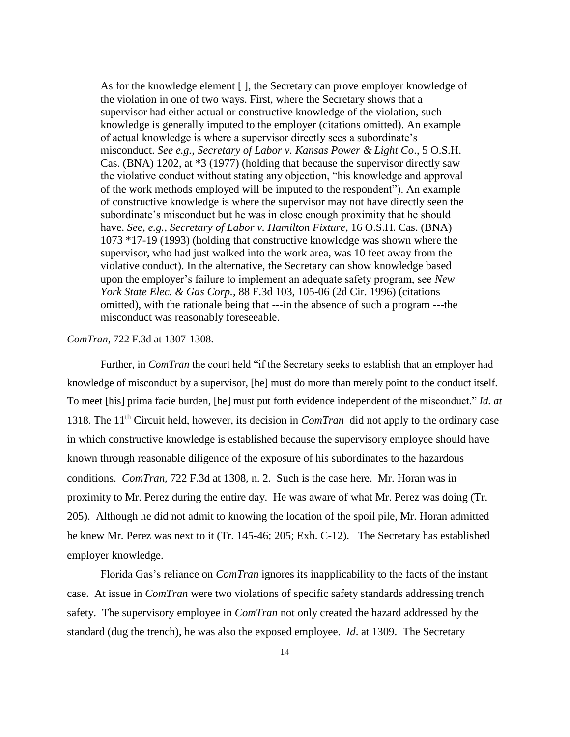As for the knowledge element [ ], the Secretary can prove employer knowledge of the violation in one of two ways. First, where the Secretary shows that a supervisor had either actual or constructive knowledge of the violation, such knowledge is generally imputed to the employer (citations omitted). An example of actual knowledge is where a supervisor directly sees a subordinate's misconduct. *See e.g., Secretary of Labor v. Kansas Power & Light Co*., 5 O.S.H. Cas. (BNA) 1202, at \*3 (1977) (holding that because the supervisor directly saw the violative conduct without stating any objection, "his knowledge and approval of the work methods employed will be imputed to the respondent"). An example of constructive knowledge is where the supervisor may not have directly seen the subordinate's misconduct but he was in close enough proximity that he should have. *See, e.g., Secretary of Labor v. Hamilton Fixture*, 16 O.S.H. Cas. (BNA) 1073 \*17-19 (1993) (holding that constructive knowledge was shown where the supervisor, who had just walked into the work area, was 10 feet away from the violative conduct). In the alternative, the Secretary can show knowledge based upon the employer's failure to implement an adequate safety program, see *New York State Elec. & Gas Corp.,* 88 F.3d 103, 105-06 (2d Cir. 1996) (citations omitted), with the rationale being that ---in the absence of such a program ---the misconduct was reasonably foreseeable.

### *ComTran*, 722 F.3d at 1307-1308.

Further, in *ComTran* the court held "if the Secretary seeks to establish that an employer had knowledge of misconduct by a supervisor, [he] must do more than merely point to the conduct itself. To meet [his] prima facie burden, [he] must put forth evidence independent of the misconduct." *Id. at*  1318. The 11th Circuit held, however, its decision in *ComTran* did not apply to the ordinary case in which constructive knowledge is established because the supervisory employee should have known through reasonable diligence of the exposure of his subordinates to the hazardous conditions. *ComTran*, 722 F.3d at 1308, n. 2. Such is the case here. Mr. Horan was in proximity to Mr. Perez during the entire day. He was aware of what Mr. Perez was doing (Tr. 205). Although he did not admit to knowing the location of the spoil pile, Mr. Horan admitted he knew Mr. Perez was next to it (Tr. 145-46; 205; Exh. C-12). The Secretary has established employer knowledge.

Florida Gas's reliance on *ComTran* ignores its inapplicability to the facts of the instant case. At issue in *ComTran* were two violations of specific safety standards addressing trench safety. The supervisory employee in *ComTran* not only created the hazard addressed by the standard (dug the trench), he was also the exposed employee. *Id*. at 1309. The Secretary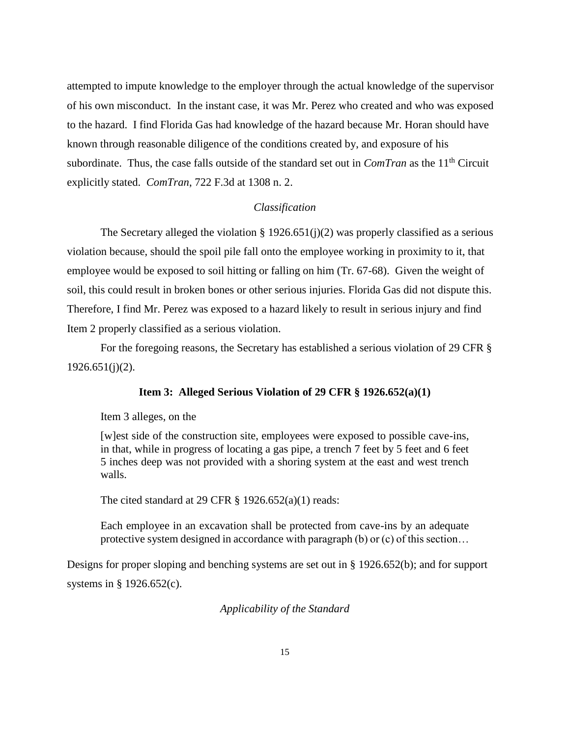attempted to impute knowledge to the employer through the actual knowledge of the supervisor of his own misconduct. In the instant case, it was Mr. Perez who created and who was exposed to the hazard. I find Florida Gas had knowledge of the hazard because Mr. Horan should have known through reasonable diligence of the conditions created by, and exposure of his subordinate. Thus, the case falls outside of the standard set out in *ComTran* as the 11th Circuit explicitly stated. *ComTran*, 722 F.3d at 1308 n. 2.

## *Classification*

The Secretary alleged the violation  $\S 1926.651(j)(2)$  was properly classified as a serious violation because, should the spoil pile fall onto the employee working in proximity to it, that employee would be exposed to soil hitting or falling on him (Tr. 67-68). Given the weight of soil, this could result in broken bones or other serious injuries. Florida Gas did not dispute this. Therefore, I find Mr. Perez was exposed to a hazard likely to result in serious injury and find Item 2 properly classified as a serious violation.

For the foregoing reasons, the Secretary has established a serious violation of 29 CFR §  $1926.651(j)(2)$ .

#### **Item 3: Alleged Serious Violation of 29 CFR § 1926.652(a)(1)**

Item 3 alleges, on the

[w]est side of the construction site, employees were exposed to possible cave-ins, in that, while in progress of locating a gas pipe, a trench 7 feet by 5 feet and 6 feet 5 inches deep was not provided with a shoring system at the east and west trench walls.

The cited standard at 29 CFR  $\S$  1926.652(a)(1) reads:

Each employee in an excavation shall be protected from cave-ins by an adequate protective system designed in accordance with paragraph (b) or (c) of this section…

Designs for proper sloping and benching systems are set out in § 1926.652(b); and for support systems in § 1926.652(c).

*Applicability of the Standard*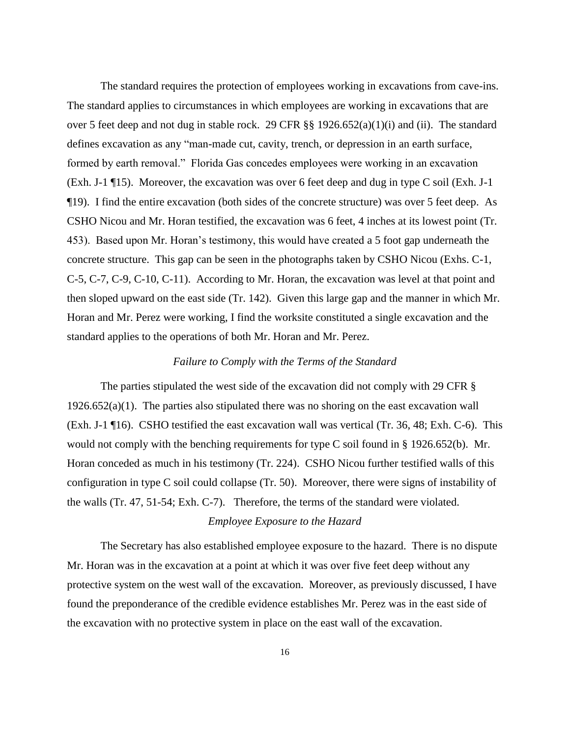The standard requires the protection of employees working in excavations from cave-ins. The standard applies to circumstances in which employees are working in excavations that are over 5 feet deep and not dug in stable rock. 29 CFR §§ 1926.652(a)(1)(i) and (ii). The standard defines excavation as any "man-made cut, cavity, trench, or depression in an earth surface, formed by earth removal." Florida Gas concedes employees were working in an excavation (Exh. J-1 ¶15). Moreover, the excavation was over 6 feet deep and dug in type C soil (Exh. J-1 ¶19). I find the entire excavation (both sides of the concrete structure) was over 5 feet deep. As CSHO Nicou and Mr. Horan testified, the excavation was 6 feet, 4 inches at its lowest point (Tr. 453). Based upon Mr. Horan's testimony, this would have created a 5 foot gap underneath the concrete structure. This gap can be seen in the photographs taken by CSHO Nicou (Exhs. C-1, C-5, C-7, C-9, C-10, C-11). According to Mr. Horan, the excavation was level at that point and then sloped upward on the east side (Tr. 142). Given this large gap and the manner in which Mr. Horan and Mr. Perez were working, I find the worksite constituted a single excavation and the standard applies to the operations of both Mr. Horan and Mr. Perez.

### *Failure to Comply with the Terms of the Standard*

The parties stipulated the west side of the excavation did not comply with 29 CFR §  $1926.652(a)(1)$ . The parties also stipulated there was no shoring on the east excavation wall (Exh. J-1 ¶16). CSHO testified the east excavation wall was vertical (Tr. 36, 48; Exh. C-6). This would not comply with the benching requirements for type C soil found in § 1926.652(b). Mr. Horan conceded as much in his testimony (Tr. 224). CSHO Nicou further testified walls of this configuration in type C soil could collapse (Tr. 50). Moreover, there were signs of instability of the walls (Tr. 47, 51-54; Exh. C-7). Therefore, the terms of the standard were violated.

# *Employee Exposure to the Hazard*

The Secretary has also established employee exposure to the hazard. There is no dispute Mr. Horan was in the excavation at a point at which it was over five feet deep without any protective system on the west wall of the excavation. Moreover, as previously discussed, I have found the preponderance of the credible evidence establishes Mr. Perez was in the east side of the excavation with no protective system in place on the east wall of the excavation.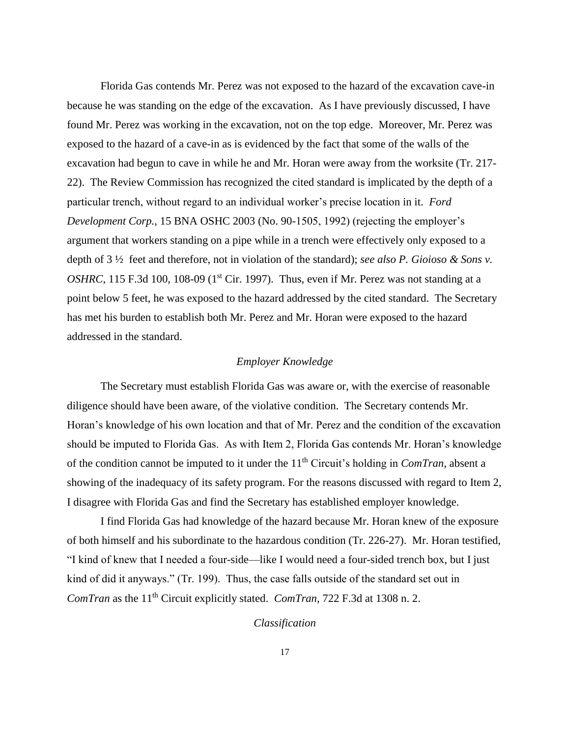Florida Gas contends Mr. Perez was not exposed to the hazard of the excavation cave-in because he was standing on the edge of the excavation. As I have previously discussed, I have found Mr. Perez was working in the excavation, not on the top edge. Moreover, Mr. Perez was exposed to the hazard of a cave-in as is evidenced by the fact that some of the walls of the excavation had begun to cave in while he and Mr. Horan were away from the worksite (Tr. 217- 22). The Review Commission has recognized the cited standard is implicated by the depth of a particular trench, without regard to an individual worker's precise location in it. *Ford Development Corp.*, 15 BNA OSHC 2003 (No. 90-1505, 1992) (rejecting the employer's argument that workers standing on a pipe while in a trench were effectively only exposed to a depth of 3 ½ feet and therefore, not in violation of the standard); *see also P. Gioioso & Sons v. OSHRC*, 115 F.3d 100, 108-09 ( $1<sup>st</sup>$  Cir. 1997). Thus, even if Mr. Perez was not standing at a point below 5 feet, he was exposed to the hazard addressed by the cited standard. The Secretary has met his burden to establish both Mr. Perez and Mr. Horan were exposed to the hazard addressed in the standard.

#### *Employer Knowledge*

The Secretary must establish Florida Gas was aware or, with the exercise of reasonable diligence should have been aware, of the violative condition. The Secretary contends Mr. Horan's knowledge of his own location and that of Mr. Perez and the condition of the excavation should be imputed to Florida Gas. As with Item 2, Florida Gas contends Mr. Horan's knowledge of the condition cannot be imputed to it under the 11<sup>th</sup> Circuit's holding in *ComTran*, absent a showing of the inadequacy of its safety program. For the reasons discussed with regard to Item 2, I disagree with Florida Gas and find the Secretary has established employer knowledge.

I find Florida Gas had knowledge of the hazard because Mr. Horan knew of the exposure of both himself and his subordinate to the hazardous condition (Tr. 226-27). Mr. Horan testified, "I kind of knew that I needed a four-side—like I would need a four-sided trench box, but I just kind of did it anyways." (Tr. 199). Thus, the case falls outside of the standard set out in *ComTran* as the 11<sup>th</sup> Circuit explicitly stated. *ComTran*, 722 F.3d at 1308 n. 2.

#### *Classification*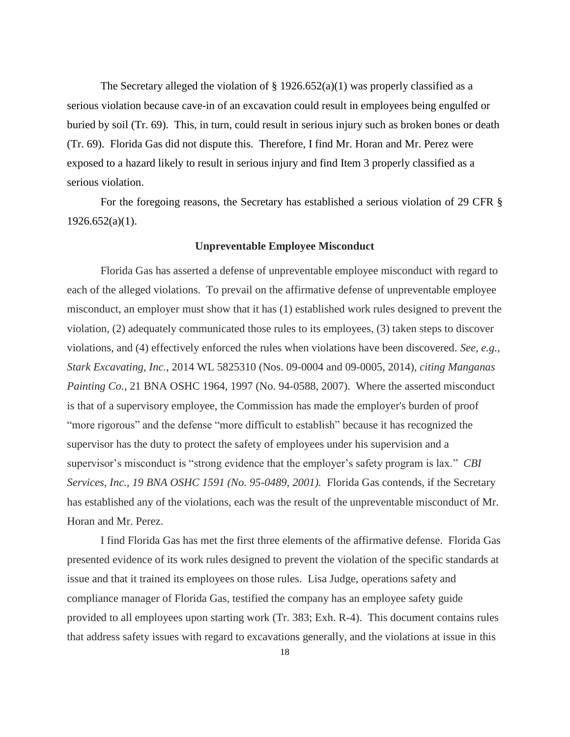The Secretary alleged the violation of  $\S$  1926.652(a)(1) was properly classified as a serious violation because cave-in of an excavation could result in employees being engulfed or buried by soil (Tr. 69). This, in turn, could result in serious injury such as broken bones or death (Tr. 69). Florida Gas did not dispute this. Therefore, I find Mr. Horan and Mr. Perez were exposed to a hazard likely to result in serious injury and find Item 3 properly classified as a serious violation.

For the foregoing reasons, the Secretary has established a serious violation of 29 CFR §  $1926.652(a)(1)$ .

#### **Unpreventable Employee Misconduct**

Florida Gas has asserted a defense of unpreventable employee misconduct with regard to each of the alleged violations. To prevail on the affirmative defense of unpreventable employee misconduct, an employer must show that it has (1) established work rules designed to prevent the violation, (2) adequately communicated those rules to its employees, (3) taken steps to discover violations, and (4) effectively enforced the rules when violations have been discovered. *See, e.g., Stark Excavating, Inc.*, 2014 WL 5825310 (Nos. 09-0004 and 09-0005, 2014), *citing Manganas Painting Co.*, 21 BNA OSHC 1964, 1997 (No. 94-0588, 2007). Where the asserted misconduct is that of a supervisory employee, the Commission has made the employer's burden of proof "more rigorous" and the defense "more difficult to establish" because it has recognized the supervisor has the duty to protect the safety of employees under his supervision and a supervisor's misconduct is "strong evidence that the employer's safety program is lax." *CBI Services, Inc., 19 BNA OSHC 1591 (No. 95-0489, 2001).* Florida Gas contends, if the Secretary has established any of the violations, each was the result of the unpreventable misconduct of Mr. Horan and Mr. Perez.

I find Florida Gas has met the first three elements of the affirmative defense. Florida Gas presented evidence of its work rules designed to prevent the violation of the specific standards at issue and that it trained its employees on those rules. Lisa Judge, operations safety and compliance manager of Florida Gas, testified the company has an employee safety guide provided to all employees upon starting work (Tr. 383; Exh. R-4). This document contains rules that address safety issues with regard to excavations generally, and the violations at issue in this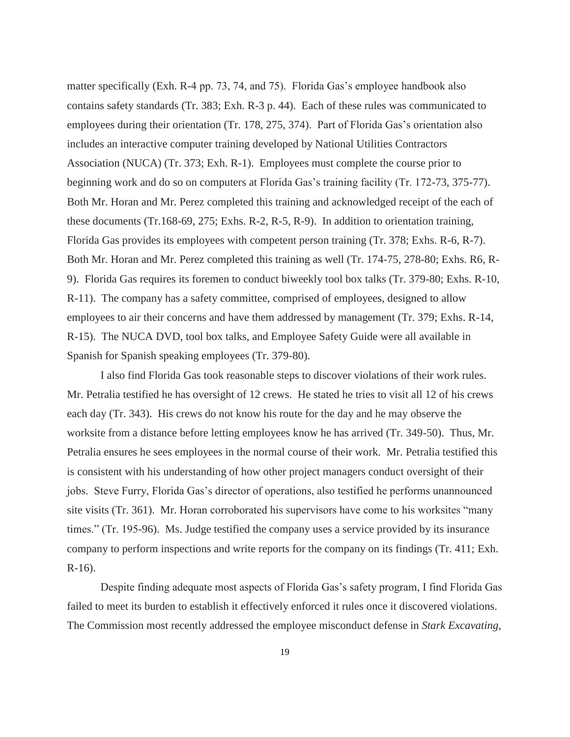matter specifically (Exh. R-4 pp. 73, 74, and 75). Florida Gas's employee handbook also contains safety standards (Tr. 383; Exh. R-3 p. 44). Each of these rules was communicated to employees during their orientation (Tr. 178, 275, 374). Part of Florida Gas's orientation also includes an interactive computer training developed by National Utilities Contractors Association (NUCA) (Tr. 373; Exh. R-1). Employees must complete the course prior to beginning work and do so on computers at Florida Gas's training facility (Tr. 172-73, 375-77). Both Mr. Horan and Mr. Perez completed this training and acknowledged receipt of the each of these documents (Tr.168-69, 275; Exhs. R-2, R-5, R-9). In addition to orientation training, Florida Gas provides its employees with competent person training (Tr. 378; Exhs. R-6, R-7). Both Mr. Horan and Mr. Perez completed this training as well (Tr. 174-75, 278-80; Exhs. R6, R-9). Florida Gas requires its foremen to conduct biweekly tool box talks (Tr. 379-80; Exhs. R-10, R-11). The company has a safety committee, comprised of employees, designed to allow employees to air their concerns and have them addressed by management (Tr. 379; Exhs. R-14, R-15). The NUCA DVD, tool box talks, and Employee Safety Guide were all available in Spanish for Spanish speaking employees (Tr. 379-80).

I also find Florida Gas took reasonable steps to discover violations of their work rules. Mr. Petralia testified he has oversight of 12 crews. He stated he tries to visit all 12 of his crews each day (Tr. 343). His crews do not know his route for the day and he may observe the worksite from a distance before letting employees know he has arrived (Tr. 349-50). Thus, Mr. Petralia ensures he sees employees in the normal course of their work. Mr. Petralia testified this is consistent with his understanding of how other project managers conduct oversight of their jobs. Steve Furry, Florida Gas's director of operations, also testified he performs unannounced site visits (Tr. 361). Mr. Horan corroborated his supervisors have come to his worksites "many times." (Tr. 195-96). Ms. Judge testified the company uses a service provided by its insurance company to perform inspections and write reports for the company on its findings (Tr. 411; Exh. R-16).

Despite finding adequate most aspects of Florida Gas's safety program, I find Florida Gas failed to meet its burden to establish it effectively enforced it rules once it discovered violations. The Commission most recently addressed the employee misconduct defense in *Stark Excavating,*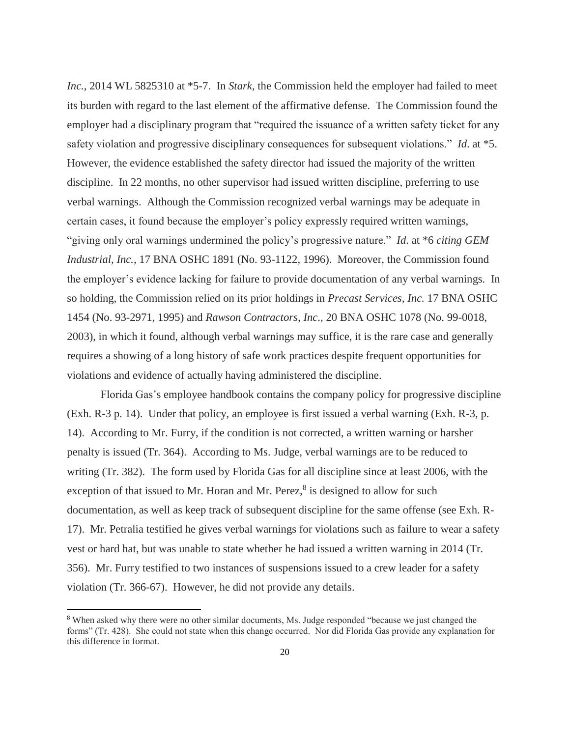*Inc.*, 2014 WL 5825310 at \*5-7. In *Stark*, the Commission held the employer had failed to meet its burden with regard to the last element of the affirmative defense. The Commission found the employer had a disciplinary program that "required the issuance of a written safety ticket for any safety violation and progressive disciplinary consequences for subsequent violations." *Id*. at \*5. However, the evidence established the safety director had issued the majority of the written discipline. In 22 months, no other supervisor had issued written discipline, preferring to use verbal warnings. Although the Commission recognized verbal warnings may be adequate in certain cases, it found because the employer's policy expressly required written warnings, "giving only oral warnings undermined the policy's progressive nature." *Id*. at \*6 *citing GEM Industrial, Inc.*, 17 BNA OSHC 1891 (No. 93-1122, 1996). Moreover, the Commission found the employer's evidence lacking for failure to provide documentation of any verbal warnings. In so holding, the Commission relied on its prior holdings in *Precast Services, Inc.* 17 BNA OSHC 1454 (No. 93-2971, 1995) and *Rawson Contractors, Inc*., 20 BNA OSHC 1078 (No. 99-0018, 2003), in which it found, although verbal warnings may suffice, it is the rare case and generally requires a showing of a long history of safe work practices despite frequent opportunities for violations and evidence of actually having administered the discipline.

Florida Gas's employee handbook contains the company policy for progressive discipline (Exh. R-3 p. 14). Under that policy, an employee is first issued a verbal warning (Exh. R-3, p. 14). According to Mr. Furry, if the condition is not corrected, a written warning or harsher penalty is issued (Tr. 364). According to Ms. Judge, verbal warnings are to be reduced to writing (Tr. 382). The form used by Florida Gas for all discipline since at least 2006, with the exception of that issued to Mr. Horan and Mr. Perez, $8$  is designed to allow for such documentation, as well as keep track of subsequent discipline for the same offense (see Exh. R-17). Mr. Petralia testified he gives verbal warnings for violations such as failure to wear a safety vest or hard hat, but was unable to state whether he had issued a written warning in 2014 (Tr. 356). Mr. Furry testified to two instances of suspensions issued to a crew leader for a safety violation (Tr. 366-67). However, he did not provide any details.

<sup>8</sup> When asked why there were no other similar documents, Ms. Judge responded "because we just changed the forms" (Tr. 428). She could not state when this change occurred. Nor did Florida Gas provide any explanation for this difference in format.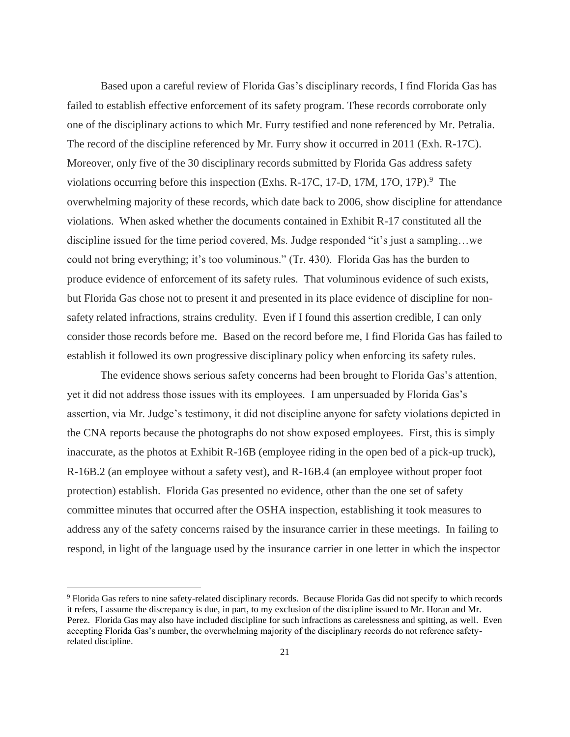Based upon a careful review of Florida Gas's disciplinary records, I find Florida Gas has failed to establish effective enforcement of its safety program. These records corroborate only one of the disciplinary actions to which Mr. Furry testified and none referenced by Mr. Petralia. The record of the discipline referenced by Mr. Furry show it occurred in 2011 (Exh. R-17C). Moreover, only five of the 30 disciplinary records submitted by Florida Gas address safety violations occurring before this inspection (Exhs. R-17C, 17-D, 17M, 17O, 17P).<sup>9</sup> The overwhelming majority of these records, which date back to 2006, show discipline for attendance violations. When asked whether the documents contained in Exhibit R-17 constituted all the discipline issued for the time period covered, Ms. Judge responded "it's just a sampling…we could not bring everything; it's too voluminous." (Tr. 430). Florida Gas has the burden to produce evidence of enforcement of its safety rules. That voluminous evidence of such exists, but Florida Gas chose not to present it and presented in its place evidence of discipline for nonsafety related infractions, strains credulity. Even if I found this assertion credible, I can only consider those records before me. Based on the record before me, I find Florida Gas has failed to establish it followed its own progressive disciplinary policy when enforcing its safety rules.

The evidence shows serious safety concerns had been brought to Florida Gas's attention, yet it did not address those issues with its employees. I am unpersuaded by Florida Gas's assertion, via Mr. Judge's testimony, it did not discipline anyone for safety violations depicted in the CNA reports because the photographs do not show exposed employees. First, this is simply inaccurate, as the photos at Exhibit R-16B (employee riding in the open bed of a pick-up truck), R-16B.2 (an employee without a safety vest), and R-16B.4 (an employee without proper foot protection) establish. Florida Gas presented no evidence, other than the one set of safety committee minutes that occurred after the OSHA inspection, establishing it took measures to address any of the safety concerns raised by the insurance carrier in these meetings. In failing to respond, in light of the language used by the insurance carrier in one letter in which the inspector

<sup>&</sup>lt;sup>9</sup> Florida Gas refers to nine safety-related disciplinary records. Because Florida Gas did not specify to which records it refers, I assume the discrepancy is due, in part, to my exclusion of the discipline issued to Mr. Horan and Mr. Perez. Florida Gas may also have included discipline for such infractions as carelessness and spitting, as well. Even accepting Florida Gas's number, the overwhelming majority of the disciplinary records do not reference safetyrelated discipline.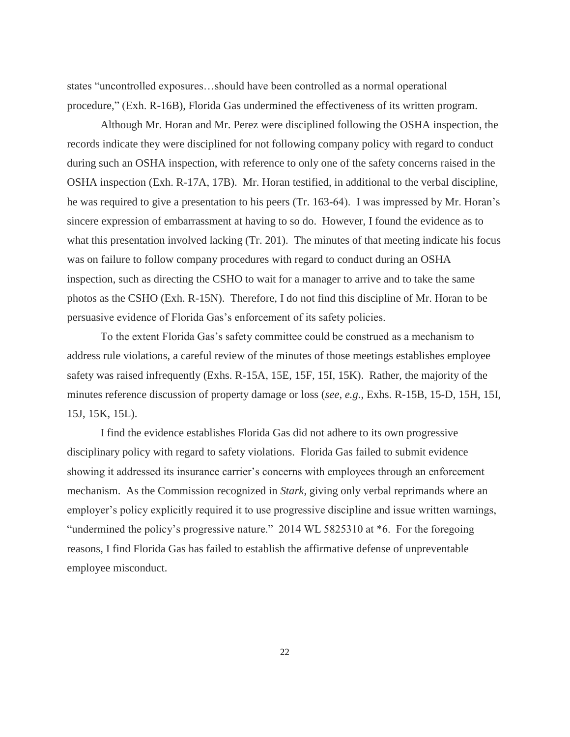states "uncontrolled exposures…should have been controlled as a normal operational procedure," (Exh. R-16B), Florida Gas undermined the effectiveness of its written program.

Although Mr. Horan and Mr. Perez were disciplined following the OSHA inspection, the records indicate they were disciplined for not following company policy with regard to conduct during such an OSHA inspection, with reference to only one of the safety concerns raised in the OSHA inspection (Exh. R-17A, 17B). Mr. Horan testified, in additional to the verbal discipline, he was required to give a presentation to his peers (Tr. 163-64). I was impressed by Mr. Horan's sincere expression of embarrassment at having to so do. However, I found the evidence as to what this presentation involved lacking (Tr. 201). The minutes of that meeting indicate his focus was on failure to follow company procedures with regard to conduct during an OSHA inspection, such as directing the CSHO to wait for a manager to arrive and to take the same photos as the CSHO (Exh. R-15N). Therefore, I do not find this discipline of Mr. Horan to be persuasive evidence of Florida Gas's enforcement of its safety policies.

To the extent Florida Gas's safety committee could be construed as a mechanism to address rule violations, a careful review of the minutes of those meetings establishes employee safety was raised infrequently (Exhs. R-15A, 15E, 15F, 15I, 15K). Rather, the majority of the minutes reference discussion of property damage or loss (*see, e.g*., Exhs. R-15B, 15-D, 15H, 15I, 15J, 15K, 15L).

I find the evidence establishes Florida Gas did not adhere to its own progressive disciplinary policy with regard to safety violations. Florida Gas failed to submit evidence showing it addressed its insurance carrier's concerns with employees through an enforcement mechanism. As the Commission recognized in *Stark*, giving only verbal reprimands where an employer's policy explicitly required it to use progressive discipline and issue written warnings, "undermined the policy's progressive nature." 2014 WL 5825310 at \*6. For the foregoing reasons, I find Florida Gas has failed to establish the affirmative defense of unpreventable employee misconduct.

22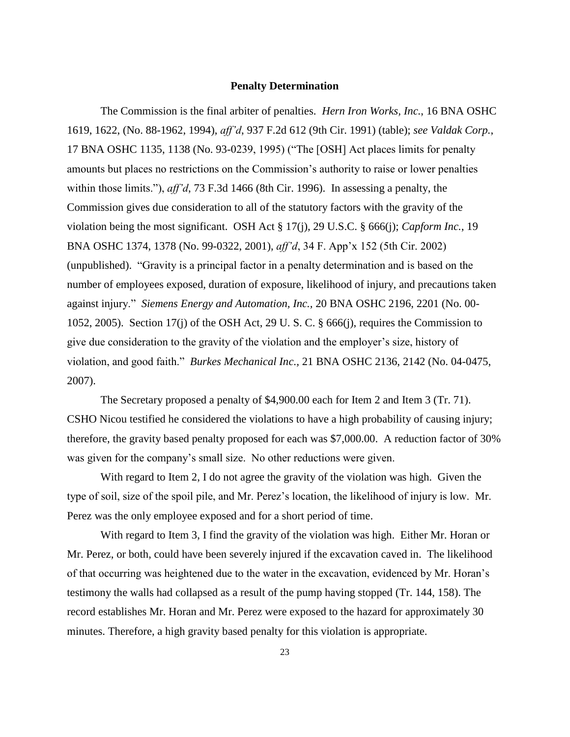#### **Penalty Determination**

The Commission is the final arbiter of penalties. *Hern Iron Works, Inc.*, 16 BNA OSHC 1619, 1622, (No. 88-1962, 1994), *aff'd*, 937 F.2d 612 (9th Cir. 1991) (table); *see Valdak Corp.*, 17 BNA OSHC 1135, 1138 (No. 93-0239, 1995) ("The [OSH] Act places limits for penalty amounts but places no restrictions on the Commission's authority to raise or lower penalties within those limits."), *aff'd*, 73 F.3d 1466 (8th Cir. 1996). In assessing a penalty, the Commission gives due consideration to all of the statutory factors with the gravity of the violation being the most significant. OSH Act § 17(j), 29 U.S.C. § 666(j); *Capform Inc.*, 19 BNA OSHC 1374, 1378 (No. 99-0322, 2001), *aff'd*, 34 F. App'x 152 (5th Cir. 2002) (unpublished). "Gravity is a principal factor in a penalty determination and is based on the number of employees exposed, duration of exposure, likelihood of injury, and precautions taken against injury." *Siemens Energy and Automation, Inc.,* 20 BNA OSHC 2196, 2201 (No. 00- 1052, 2005). Section 17(j) of the OSH Act, 29 U. S. C. § 666(j), requires the Commission to give due consideration to the gravity of the violation and the employer's size, history of violation, and good faith." *Burkes Mechanical Inc.,* 21 BNA OSHC 2136, 2142 (No. 04-0475, 2007).

The Secretary proposed a penalty of \$4,900.00 each for Item 2 and Item 3 (Tr. 71). CSHO Nicou testified he considered the violations to have a high probability of causing injury; therefore, the gravity based penalty proposed for each was \$7,000.00. A reduction factor of 30% was given for the company's small size. No other reductions were given.

With regard to Item 2, I do not agree the gravity of the violation was high. Given the type of soil, size of the spoil pile, and Mr. Perez's location, the likelihood of injury is low. Mr. Perez was the only employee exposed and for a short period of time.

With regard to Item 3, I find the gravity of the violation was high. Either Mr. Horan or Mr. Perez, or both, could have been severely injured if the excavation caved in. The likelihood of that occurring was heightened due to the water in the excavation, evidenced by Mr. Horan's testimony the walls had collapsed as a result of the pump having stopped (Tr. 144, 158). The record establishes Mr. Horan and Mr. Perez were exposed to the hazard for approximately 30 minutes. Therefore, a high gravity based penalty for this violation is appropriate.